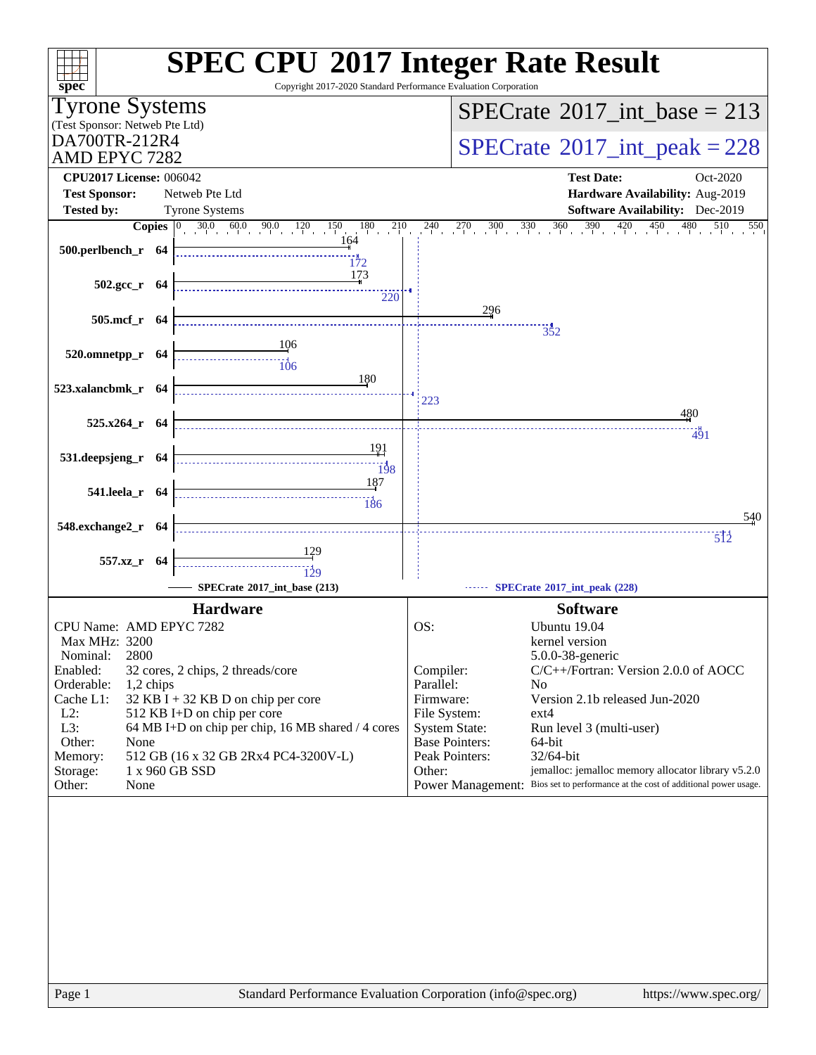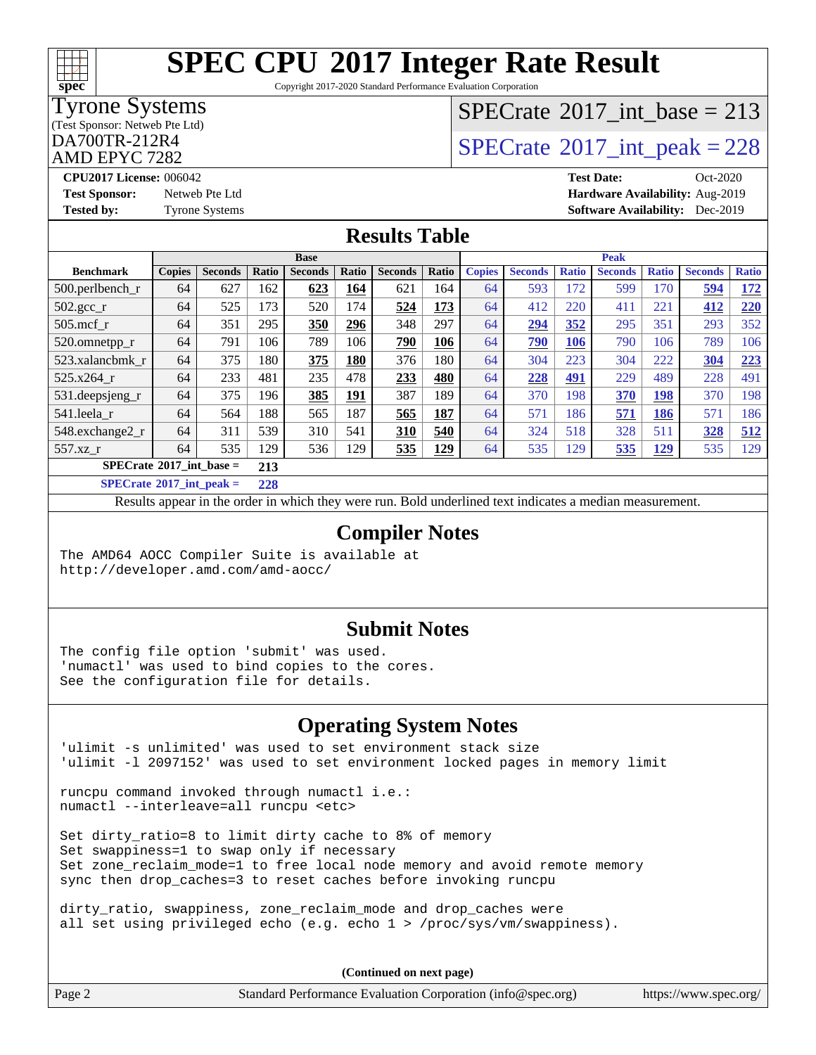

Copyright 2017-2020 Standard Performance Evaluation Corporation

### Tyrone Systems

(Test Sponsor: Netweb Pte Ltd)

AMD EPYC 7282

# $SPECTate$ <sup>®</sup>[2017\\_int\\_base =](http://www.spec.org/auto/cpu2017/Docs/result-fields.html#SPECrate2017intbase) 213

### $\text{D}$ A700TR-212R4 [SPECrate](http://www.spec.org/auto/cpu2017/Docs/result-fields.html#SPECrate2017intpeak)®[2017\\_int\\_peak = 2](http://www.spec.org/auto/cpu2017/Docs/result-fields.html#SPECrate2017intpeak)28

**[CPU2017 License:](http://www.spec.org/auto/cpu2017/Docs/result-fields.html#CPU2017License)** 006042 **[Test Date:](http://www.spec.org/auto/cpu2017/Docs/result-fields.html#TestDate)** Oct-2020 **[Test Sponsor:](http://www.spec.org/auto/cpu2017/Docs/result-fields.html#TestSponsor)** Netweb Pte Ltd **[Hardware Availability:](http://www.spec.org/auto/cpu2017/Docs/result-fields.html#HardwareAvailability)** Aug-2019 **[Tested by:](http://www.spec.org/auto/cpu2017/Docs/result-fields.html#Testedby)** Tyrone Systems **[Software Availability:](http://www.spec.org/auto/cpu2017/Docs/result-fields.html#SoftwareAvailability)** Dec-2019

### **[Results Table](http://www.spec.org/auto/cpu2017/Docs/result-fields.html#ResultsTable)**

|                                   | <b>Base</b>   |                |                      |                |             |                | <b>Peak</b> |               |                |              |                |              |                |              |
|-----------------------------------|---------------|----------------|----------------------|----------------|-------------|----------------|-------------|---------------|----------------|--------------|----------------|--------------|----------------|--------------|
| <b>Benchmark</b>                  | <b>Copies</b> | <b>Seconds</b> | Ratio                | <b>Seconds</b> | Ratio       | <b>Seconds</b> | Ratio       | <b>Copies</b> | <b>Seconds</b> | <b>Ratio</b> | <b>Seconds</b> | <b>Ratio</b> | <b>Seconds</b> | <b>Ratio</b> |
| 500.perlbench_r                   | 64            | 627            | 162                  | 623            | 164         | 621            | 164         | 64            | 593            | 172          | 599            | 170          | 594            | <u>172</u>   |
| $502.\text{gcc}_{r}$              | 64            | 525            | 173                  | 520            | 174         | 524            | 173         | 64            | 412            | 220          | 411            | 221          | 412            | 220          |
| $505$ .mcf r                      | 64            | 351            | 295                  | 350            | 296         | 348            | 297         | 64            | 294            | 352          | 295            | 351          | 293            | 352          |
| 520.omnetpp_r                     | 64            | 791            | 106                  | 789            | 106         | <b>790</b>     | 106         | 64            | 790            | 106          | 790            | 106          | 789            | 106          |
| 523.xalancbmk r                   | 64            | 375            | 180                  | 375            | 180         | 376            | 180         | 64            | 304            | 223          | 304            | 222          | 304            | 223          |
| 525.x264 r                        | 64            | 233            | 481                  | 235            | 478         | 233            | 480         | 64            | 228            | 491          | 229            | 489          | 228            | 491          |
| 531.deepsjeng_r                   | 64            | 375            | 196                  | 385            | <u> 191</u> | 387            | 189         | 64            | 370            | 198          | 370            | 198          | 370            | 198          |
| 541.leela r                       | 64            | 564            | 188                  | 565            | 187         | 565            | 187         | 64            | 571            | 186          | 571            | <u>186</u>   | 571            | 186          |
| 548.exchange2_r                   | 64            | 311            | 539                  | 310            | 541         | 310            | 540         | 64            | 324            | 518          | 328            | 511          | 328            | 512          |
| 557.xz                            | 64            | 535            | 129                  | 536            | 129         | 535            | <u>129</u>  | 64            | 535            | 129          | 535            | <u>129</u>   | 535            | 129          |
| $SPECrate^{\circ}2017$ int base = |               |                | 213                  |                |             |                |             |               |                |              |                |              |                |              |
| $CDP2 \rightarrow A04 \pi + 1$    |               |                | $\sim$ $\sim$ $\sim$ |                |             |                |             |               |                |              |                |              |                |              |

**[SPECrate](http://www.spec.org/auto/cpu2017/Docs/result-fields.html#SPECrate2017intpeak)[2017\\_int\\_peak =](http://www.spec.org/auto/cpu2017/Docs/result-fields.html#SPECrate2017intpeak) 228**

Results appear in the [order in which they were run](http://www.spec.org/auto/cpu2017/Docs/result-fields.html#RunOrder). Bold underlined text [indicates a median measurement](http://www.spec.org/auto/cpu2017/Docs/result-fields.html#Median).

### **[Compiler Notes](http://www.spec.org/auto/cpu2017/Docs/result-fields.html#CompilerNotes)**

The AMD64 AOCC Compiler Suite is available at <http://developer.amd.com/amd-aocc/>

### **[Submit Notes](http://www.spec.org/auto/cpu2017/Docs/result-fields.html#SubmitNotes)**

The config file option 'submit' was used. 'numactl' was used to bind copies to the cores. See the configuration file for details.

### **[Operating System Notes](http://www.spec.org/auto/cpu2017/Docs/result-fields.html#OperatingSystemNotes)**

'ulimit -s unlimited' was used to set environment stack size 'ulimit -l 2097152' was used to set environment locked pages in memory limit

runcpu command invoked through numactl i.e.: numactl --interleave=all runcpu <etc>

Set dirty\_ratio=8 to limit dirty cache to 8% of memory Set swappiness=1 to swap only if necessary Set zone\_reclaim\_mode=1 to free local node memory and avoid remote memory sync then drop\_caches=3 to reset caches before invoking runcpu

dirty\_ratio, swappiness, zone\_reclaim\_mode and drop\_caches were all set using privileged echo (e.g. echo 1 > /proc/sys/vm/swappiness).

**(Continued on next page)**

Page 2 Standard Performance Evaluation Corporation [\(info@spec.org\)](mailto:info@spec.org) <https://www.spec.org/>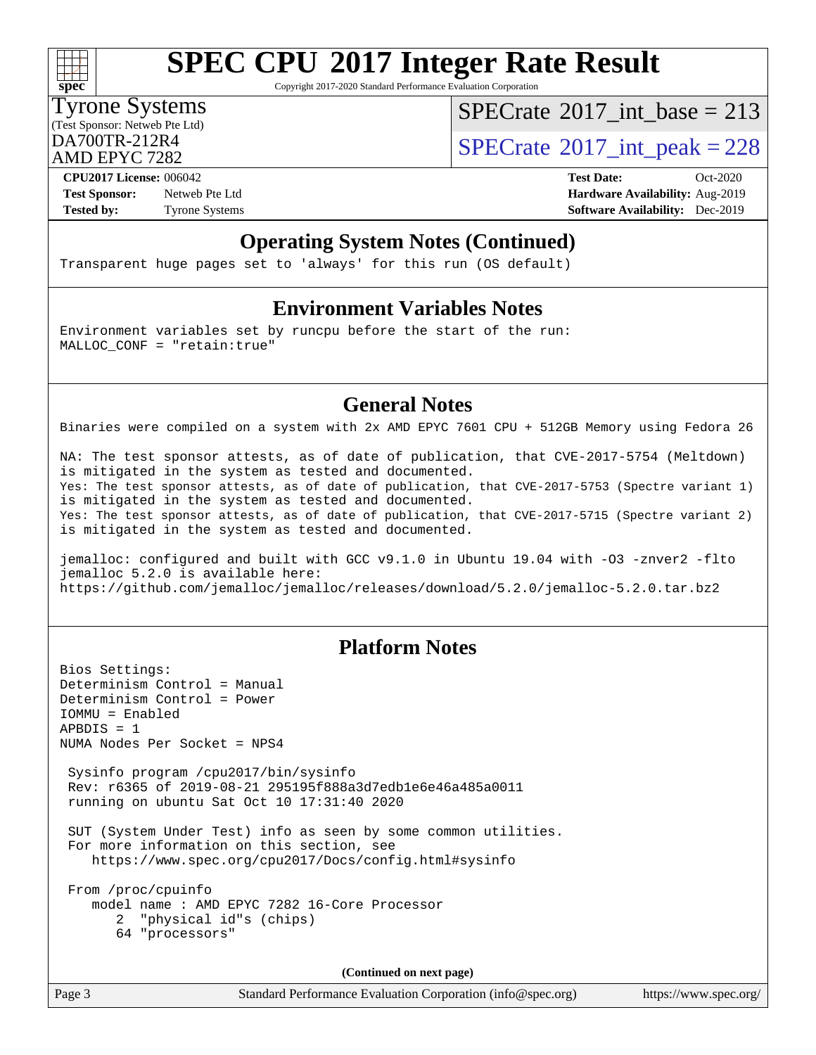

Copyright 2017-2020 Standard Performance Evaluation Corporation

### Tyrone Systems

(Test Sponsor: Netweb Pte Ltd)

AMD EPYC 7282

 $SPECrate$ <sup>®</sup>[2017\\_int\\_base =](http://www.spec.org/auto/cpu2017/Docs/result-fields.html#SPECrate2017intbase) 213

 $D_A$ <sub>200</sub>TR-212R4 [SPECrate](http://www.spec.org/auto/cpu2017/Docs/result-fields.html#SPECrate2017intpeak)<sup>®</sup>[2017\\_int\\_peak = 2](http://www.spec.org/auto/cpu2017/Docs/result-fields.html#SPECrate2017intpeak)28

**[Test Sponsor:](http://www.spec.org/auto/cpu2017/Docs/result-fields.html#TestSponsor)** Netweb Pte Ltd **[Hardware Availability:](http://www.spec.org/auto/cpu2017/Docs/result-fields.html#HardwareAvailability)** Aug-2019 **[Tested by:](http://www.spec.org/auto/cpu2017/Docs/result-fields.html#Testedby)** Tyrone Systems **[Software Availability:](http://www.spec.org/auto/cpu2017/Docs/result-fields.html#SoftwareAvailability)** Dec-2019

**[CPU2017 License:](http://www.spec.org/auto/cpu2017/Docs/result-fields.html#CPU2017License)** 006042 **[Test Date:](http://www.spec.org/auto/cpu2017/Docs/result-fields.html#TestDate)** Oct-2020

### **[Operating System Notes \(Continued\)](http://www.spec.org/auto/cpu2017/Docs/result-fields.html#OperatingSystemNotes)**

Transparent huge pages set to 'always' for this run (OS default)

### **[Environment Variables Notes](http://www.spec.org/auto/cpu2017/Docs/result-fields.html#EnvironmentVariablesNotes)**

Environment variables set by runcpu before the start of the run: MALLOC\_CONF = "retain:true"

### **[General Notes](http://www.spec.org/auto/cpu2017/Docs/result-fields.html#GeneralNotes)**

Binaries were compiled on a system with 2x AMD EPYC 7601 CPU + 512GB Memory using Fedora 26

NA: The test sponsor attests, as of date of publication, that CVE-2017-5754 (Meltdown) is mitigated in the system as tested and documented. Yes: The test sponsor attests, as of date of publication, that CVE-2017-5753 (Spectre variant 1) is mitigated in the system as tested and documented. Yes: The test sponsor attests, as of date of publication, that CVE-2017-5715 (Spectre variant 2) is mitigated in the system as tested and documented.

jemalloc: configured and built with GCC v9.1.0 in Ubuntu 19.04 with -O3 -znver2 -flto jemalloc 5.2.0 is available here: <https://github.com/jemalloc/jemalloc/releases/download/5.2.0/jemalloc-5.2.0.tar.bz2>

### **[Platform Notes](http://www.spec.org/auto/cpu2017/Docs/result-fields.html#PlatformNotes)**

Bios Settings: Determinism Control = Manual Determinism Control = Power IOMMU = Enabled  $APBDIS = 1$ NUMA Nodes Per Socket = NPS4 Sysinfo program /cpu2017/bin/sysinfo Rev: r6365 of 2019-08-21 295195f888a3d7edb1e6e46a485a0011 running on ubuntu Sat Oct 10 17:31:40 2020 SUT (System Under Test) info as seen by some common utilities. For more information on this section, see <https://www.spec.org/cpu2017/Docs/config.html#sysinfo> From /proc/cpuinfo model name : AMD EPYC 7282 16-Core Processor 2 "physical id"s (chips) 64 "processors" **(Continued on next page)**

Page 3 Standard Performance Evaluation Corporation [\(info@spec.org\)](mailto:info@spec.org) <https://www.spec.org/>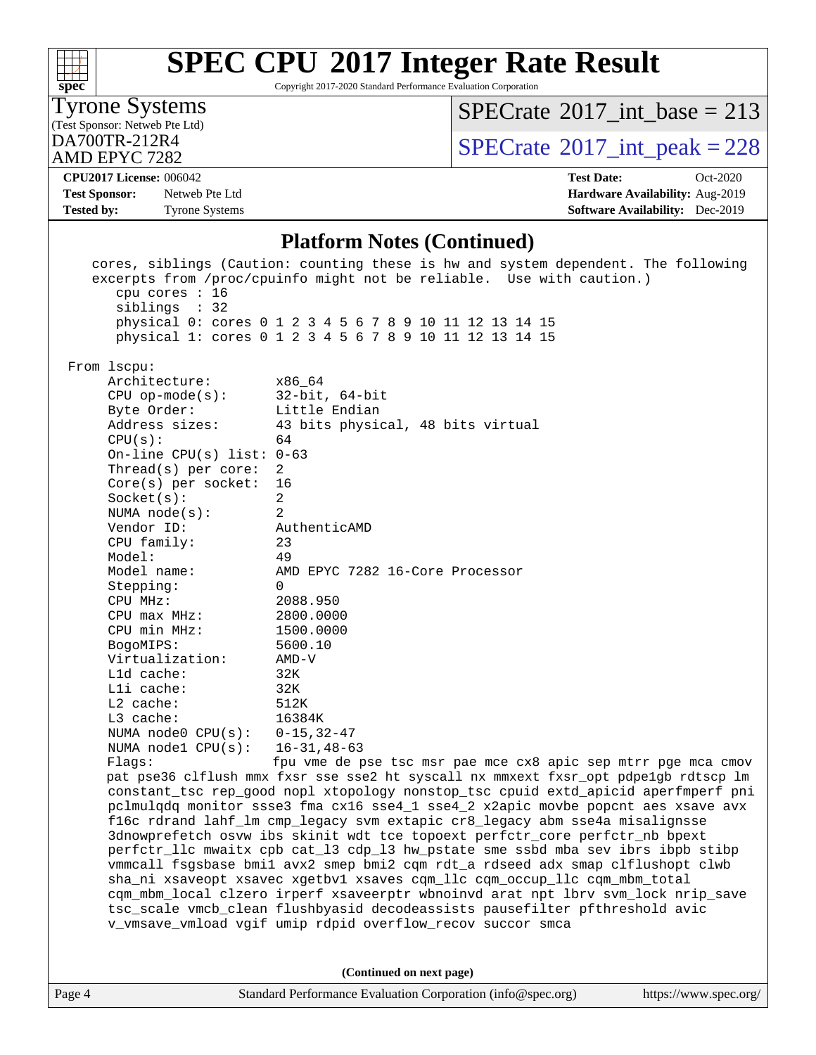

Copyright 2017-2020 Standard Performance Evaluation Corporation

### Tyrone Systems

(Test Sponsor: Netweb Pte Ltd)

AMD EPYC 7282

### $SPECrate$ <sup>®</sup>[2017\\_int\\_base =](http://www.spec.org/auto/cpu2017/Docs/result-fields.html#SPECrate2017intbase) 213

 $\text{DA700TR-212R4}$   $\text{SPECrate}^{\text{\textdegree}}2017\_int\_peak = 228$  $\text{SPECrate}^{\text{\textdegree}}2017\_int\_peak = 228$  $\text{SPECrate}^{\text{\textdegree}}2017\_int\_peak = 228$ 

#### **[CPU2017 License:](http://www.spec.org/auto/cpu2017/Docs/result-fields.html#CPU2017License)** 006042 **[Test Date:](http://www.spec.org/auto/cpu2017/Docs/result-fields.html#TestDate)** Oct-2020

**[Test Sponsor:](http://www.spec.org/auto/cpu2017/Docs/result-fields.html#TestSponsor)** Netweb Pte Ltd **[Hardware Availability:](http://www.spec.org/auto/cpu2017/Docs/result-fields.html#HardwareAvailability)** Aug-2019 **[Tested by:](http://www.spec.org/auto/cpu2017/Docs/result-fields.html#Testedby)** Tyrone Systems **[Software Availability:](http://www.spec.org/auto/cpu2017/Docs/result-fields.html#SoftwareAvailability)** Dec-2019

### **[Platform Notes \(Continued\)](http://www.spec.org/auto/cpu2017/Docs/result-fields.html#PlatformNotes)**

| cpu cores : 16<br>siblings : 32             | cores, siblings (Caution: counting these is hw and system dependent. The following<br>excerpts from /proc/cpuinfo might not be reliable. Use with caution.)<br>physical 0: cores 0 1 2 3 4 5 6 7 8 9 10 11 12 13 14 15<br>physical 1: cores 0 1 2 3 4 5 6 7 8 9 10 11 12 13 14 15 |  |  |  |  |
|---------------------------------------------|-----------------------------------------------------------------------------------------------------------------------------------------------------------------------------------------------------------------------------------------------------------------------------------|--|--|--|--|
| From 1scpu:<br>Architecture:                | x86_64                                                                                                                                                                                                                                                                            |  |  |  |  |
| $CPU$ op-mode( $s$ ):                       | $32$ -bit, $64$ -bit                                                                                                                                                                                                                                                              |  |  |  |  |
| Byte Order:                                 | Little Endian                                                                                                                                                                                                                                                                     |  |  |  |  |
| Address sizes:                              | 43 bits physical, 48 bits virtual                                                                                                                                                                                                                                                 |  |  |  |  |
| CPU(s):                                     | 64                                                                                                                                                                                                                                                                                |  |  |  |  |
| On-line CPU(s) list: $0-63$                 |                                                                                                                                                                                                                                                                                   |  |  |  |  |
| Thread( $s$ ) per core:                     | 2                                                                                                                                                                                                                                                                                 |  |  |  |  |
| Core(s) per socket:                         | 16                                                                                                                                                                                                                                                                                |  |  |  |  |
| Socket(s):                                  | 2                                                                                                                                                                                                                                                                                 |  |  |  |  |
| NUMA $node(s):$                             | $\overline{a}$                                                                                                                                                                                                                                                                    |  |  |  |  |
| Vendor ID:                                  | AuthenticAMD                                                                                                                                                                                                                                                                      |  |  |  |  |
| CPU family:<br>Model:                       | 23                                                                                                                                                                                                                                                                                |  |  |  |  |
| Model name:                                 | 49<br>AMD EPYC 7282 16-Core Processor                                                                                                                                                                                                                                             |  |  |  |  |
| Stepping:                                   | $\mathbf{0}$                                                                                                                                                                                                                                                                      |  |  |  |  |
| CPU MHz:                                    | 2088.950                                                                                                                                                                                                                                                                          |  |  |  |  |
| $CPU$ max $MHz$ :                           | 2800.0000                                                                                                                                                                                                                                                                         |  |  |  |  |
| CPU min MHz:                                | 1500.0000                                                                                                                                                                                                                                                                         |  |  |  |  |
| BogoMIPS:                                   | 5600.10                                                                                                                                                                                                                                                                           |  |  |  |  |
| Virtualization:                             | $\text{AMD-V}$                                                                                                                                                                                                                                                                    |  |  |  |  |
| L1d cache:                                  | 32K                                                                                                                                                                                                                                                                               |  |  |  |  |
| Lli cache:                                  | 32K                                                                                                                                                                                                                                                                               |  |  |  |  |
| $L2$ cache:                                 | 512K                                                                                                                                                                                                                                                                              |  |  |  |  |
| $L3$ cache:                                 | 16384K                                                                                                                                                                                                                                                                            |  |  |  |  |
| NUMA node0 $CPU(s): 0-15, 32-47$            |                                                                                                                                                                                                                                                                                   |  |  |  |  |
| NUMA nodel $CPU(s): 16-31, 48-63$<br>Flags: | fpu vme de pse tsc msr pae mce cx8 apic sep mtrr pge mca cmov                                                                                                                                                                                                                     |  |  |  |  |
|                                             | pat pse36 clflush mmx fxsr sse sse2 ht syscall nx mmxext fxsr_opt pdpe1gb rdtscp lm                                                                                                                                                                                               |  |  |  |  |
|                                             | constant_tsc rep_good nopl xtopology nonstop_tsc cpuid extd_apicid aperfmperf pni                                                                                                                                                                                                 |  |  |  |  |
|                                             | pclmulqdq monitor ssse3 fma cx16 sse4_1 sse4_2 x2apic movbe popcnt aes xsave avx                                                                                                                                                                                                  |  |  |  |  |
|                                             | fl6c rdrand lahf_lm cmp_legacy svm extapic cr8_legacy abm sse4a misalignsse                                                                                                                                                                                                       |  |  |  |  |
|                                             | 3dnowprefetch osvw ibs skinit wdt tce topoext perfctr_core perfctr_nb bpext                                                                                                                                                                                                       |  |  |  |  |
|                                             | perfctr_llc mwaitx cpb cat_l3 cdp_l3 hw_pstate sme ssbd mba sev ibrs ibpb stibp                                                                                                                                                                                                   |  |  |  |  |
|                                             | vmmcall fsgsbase bmil avx2 smep bmi2 cqm rdt_a rdseed adx smap clflushopt clwb                                                                                                                                                                                                    |  |  |  |  |
|                                             | sha_ni xsaveopt xsavec xgetbvl xsaves cqm_llc cqm_occup_llc cqm_mbm_total                                                                                                                                                                                                         |  |  |  |  |
|                                             | cqm_mbm_local clzero irperf xsaveerptr wbnoinvd arat npt lbrv svm_lock nrip_save<br>tsc_scale vmcb_clean flushbyasid decodeassists pausefilter pfthreshold avic                                                                                                                   |  |  |  |  |
|                                             | v_vmsave_vmload vgif umip rdpid overflow_recov succor smca                                                                                                                                                                                                                        |  |  |  |  |
|                                             |                                                                                                                                                                                                                                                                                   |  |  |  |  |
|                                             |                                                                                                                                                                                                                                                                                   |  |  |  |  |
|                                             | (Continued on next page)                                                                                                                                                                                                                                                          |  |  |  |  |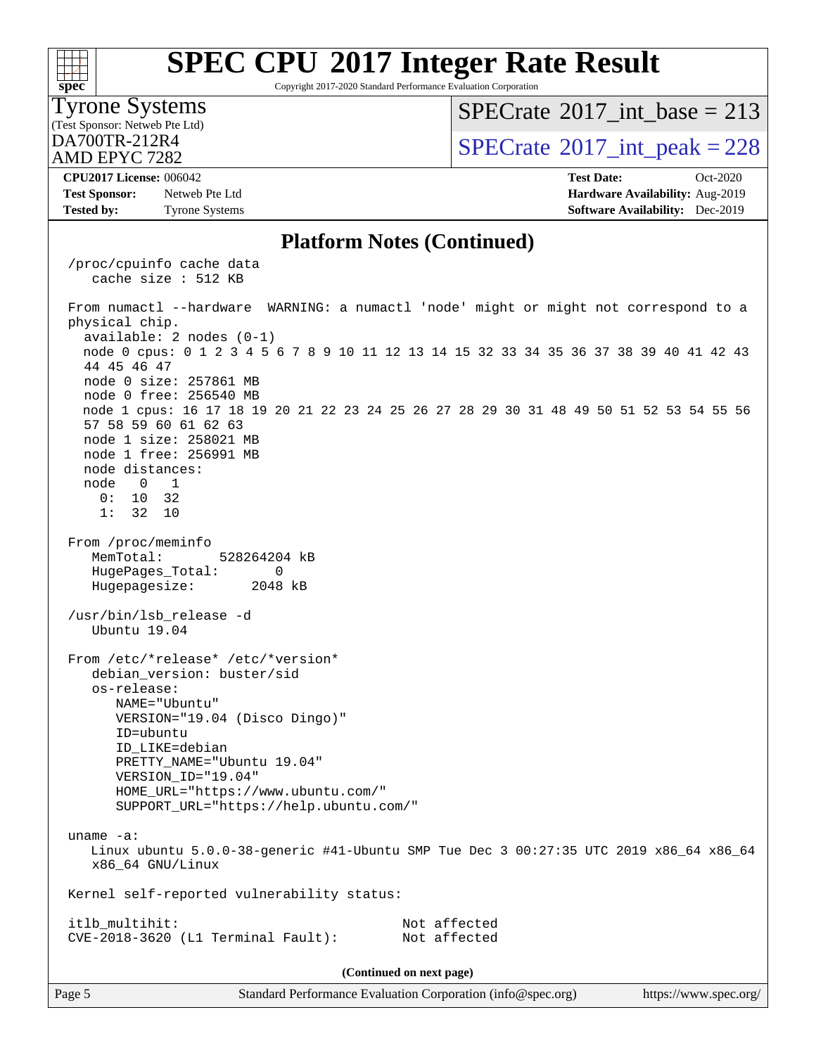

Copyright 2017-2020 Standard Performance Evaluation Corporation

#### Tyrone Systems

(Test Sponsor: Netweb Pte Ltd)

AMD EPYC 7282

### $SPECTate$ <sup>®</sup>[2017\\_int\\_base =](http://www.spec.org/auto/cpu2017/Docs/result-fields.html#SPECrate2017intbase) 213

 $\text{D}$ A700TR-212R4<br>AMD EPYC 7282

**[Test Sponsor:](http://www.spec.org/auto/cpu2017/Docs/result-fields.html#TestSponsor)** Netweb Pte Ltd **[Hardware Availability:](http://www.spec.org/auto/cpu2017/Docs/result-fields.html#HardwareAvailability)** Aug-2019 **[Tested by:](http://www.spec.org/auto/cpu2017/Docs/result-fields.html#Testedby)** Tyrone Systems **[Software Availability:](http://www.spec.org/auto/cpu2017/Docs/result-fields.html#SoftwareAvailability)** Dec-2019

**[CPU2017 License:](http://www.spec.org/auto/cpu2017/Docs/result-fields.html#CPU2017License)** 006042 **[Test Date:](http://www.spec.org/auto/cpu2017/Docs/result-fields.html#TestDate)** Oct-2020

### **[Platform Notes \(Continued\)](http://www.spec.org/auto/cpu2017/Docs/result-fields.html#PlatformNotes)**

 /proc/cpuinfo cache data cache size : 512 KB From numactl --hardware WARNING: a numactl 'node' might or might not correspond to a physical chip. available: 2 nodes (0-1) node 0 cpus: 0 1 2 3 4 5 6 7 8 9 10 11 12 13 14 15 32 33 34 35 36 37 38 39 40 41 42 43 44 45 46 47 node 0 size: 257861 MB node 0 free: 256540 MB node 1 cpus: 16 17 18 19 20 21 22 23 24 25 26 27 28 29 30 31 48 49 50 51 52 53 54 55 56 57 58 59 60 61 62 63 node 1 size: 258021 MB node 1 free: 256991 MB node distances: node 0 1 0: 10 32 1: 32 10 From /proc/meminfo MemTotal: 528264204 kB HugePages\_Total: 0 Hugepagesize: 2048 kB /usr/bin/lsb\_release -d Ubuntu 19.04 From /etc/\*release\* /etc/\*version\* debian\_version: buster/sid os-release: NAME="Ubuntu" VERSION="19.04 (Disco Dingo)" ID=ubuntu ID\_LIKE=debian PRETTY\_NAME="Ubuntu 19.04" VERSION\_ID="19.04" HOME\_URL="<https://www.ubuntu.com/"> SUPPORT\_URL="<https://help.ubuntu.com/"> uname -a: Linux ubuntu 5.0.0-38-generic #41-Ubuntu SMP Tue Dec 3 00:27:35 UTC 2019 x86\_64 x86\_64 x86\_64 GNU/Linux Kernel self-reported vulnerability status: itlb\_multihit: Not affected CVE-2018-3620 (L1 Terminal Fault): Not affected **(Continued on next page)**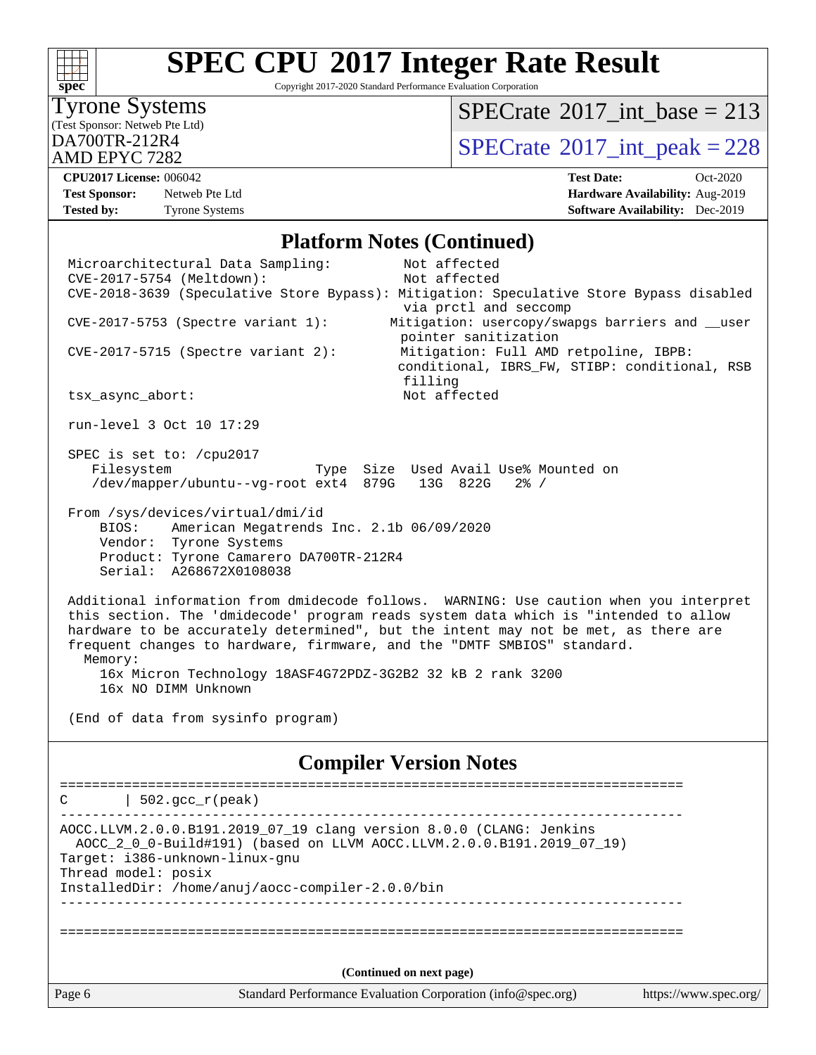

Copyright 2017-2020 Standard Performance Evaluation Corporation

### Tyrone Systems

(Test Sponsor: Netweb Pte Ltd)

AMD EPYC 7282

### $SPECrate$ <sup>®</sup>[2017\\_int\\_base =](http://www.spec.org/auto/cpu2017/Docs/result-fields.html#SPECrate2017intbase) 213

 $\text{DA700TR-212R4}$   $\text{BPECrate}^{\text{\textdegree}}2017\_int\_peak = 228$ 

**[Test Sponsor:](http://www.spec.org/auto/cpu2017/Docs/result-fields.html#TestSponsor)** Netweb Pte Ltd **[Hardware Availability:](http://www.spec.org/auto/cpu2017/Docs/result-fields.html#HardwareAvailability)** Aug-2019 **[Tested by:](http://www.spec.org/auto/cpu2017/Docs/result-fields.html#Testedby)** Tyrone Systems **[Software Availability:](http://www.spec.org/auto/cpu2017/Docs/result-fields.html#SoftwareAvailability)** Dec-2019

**[CPU2017 License:](http://www.spec.org/auto/cpu2017/Docs/result-fields.html#CPU2017License)** 006042 **[Test Date:](http://www.spec.org/auto/cpu2017/Docs/result-fields.html#TestDate)** Oct-2020

### **[Platform Notes \(Continued\)](http://www.spec.org/auto/cpu2017/Docs/result-fields.html#PlatformNotes)**

| Page 6 |                                                                                                                                                                                                                                                                                                                                                                                                                                                | Standard Performance Evaluation Corporation (info@spec.org)              | https://www.spec.org/ |
|--------|------------------------------------------------------------------------------------------------------------------------------------------------------------------------------------------------------------------------------------------------------------------------------------------------------------------------------------------------------------------------------------------------------------------------------------------------|--------------------------------------------------------------------------|-----------------------|
|        |                                                                                                                                                                                                                                                                                                                                                                                                                                                | (Continued on next page)                                                 |                       |
|        |                                                                                                                                                                                                                                                                                                                                                                                                                                                |                                                                          |                       |
|        | Thread model: posix<br>InstalledDir: /home/anuj/aocc-compiler-2.0.0/bin                                                                                                                                                                                                                                                                                                                                                                        |                                                                          |                       |
|        | AOCC.LLVM.2.0.0.B191.2019_07_19 clang version 8.0.0 (CLANG: Jenkins<br>AOCC_2_0_0-Build#191) (based on LLVM AOCC.LLVM.2.0.0.B191.2019_07_19)<br>Target: i386-unknown-linux-gnu                                                                                                                                                                                                                                                                 |                                                                          |                       |
| C      | $  502.\text{gcc_r(peak)}$                                                                                                                                                                                                                                                                                                                                                                                                                     |                                                                          |                       |
|        |                                                                                                                                                                                                                                                                                                                                                                                                                                                | <b>Compiler Version Notes</b>                                            |                       |
|        | (End of data from sysinfo program)                                                                                                                                                                                                                                                                                                                                                                                                             |                                                                          |                       |
|        | Additional information from dmidecode follows. WARNING: Use caution when you interpret<br>this section. The 'dmidecode' program reads system data which is "intended to allow<br>hardware to be accurately determined", but the intent may not be met, as there are<br>frequent changes to hardware, firmware, and the "DMTF SMBIOS" standard.<br>Memory:<br>16x Micron Technology 18ASF4G72PDZ-3G2B2 32 kB 2 rank 3200<br>16x NO DIMM Unknown |                                                                          |                       |
|        | From /sys/devices/virtual/dmi/id<br>American Megatrends Inc. 2.1b 06/09/2020<br>BIOS:<br>Vendor: Tyrone Systems<br>Product: Tyrone Camarero DA700TR-212R4<br>Serial: A268672X0108038                                                                                                                                                                                                                                                           |                                                                          |                       |
|        | SPEC is set to: /cpu2017<br>Filesystem<br>/dev/mapper/ubuntu--vg-root ext4 879G 13G 822G                                                                                                                                                                                                                                                                                                                                                       | Type Size Used Avail Use% Mounted on<br>$2\frac{8}{1}$ /                 |                       |
|        | run-level 3 Oct 10 17:29                                                                                                                                                                                                                                                                                                                                                                                                                       |                                                                          |                       |
|        | tsx_async_abort:                                                                                                                                                                                                                                                                                                                                                                                                                               | conditional, IBRS_FW, STIBP: conditional, RSB<br>filling<br>Not affected |                       |
|        | $CVE-2017-5715$ (Spectre variant 2):                                                                                                                                                                                                                                                                                                                                                                                                           | pointer sanitization<br>Mitigation: Full AMD retpoline, IBPB:            |                       |
|        | $CVE-2017-5753$ (Spectre variant 1):                                                                                                                                                                                                                                                                                                                                                                                                           | via prctl and seccomp<br>Mitigation: usercopy/swapgs barriers and __user |                       |
|        | Microarchitectural Data Sampling:<br>CVE-2017-5754 (Meltdown):<br>CVE-2018-3639 (Speculative Store Bypass): Mitigation: Speculative Store Bypass disabled                                                                                                                                                                                                                                                                                      | Not affected<br>Not affected                                             |                       |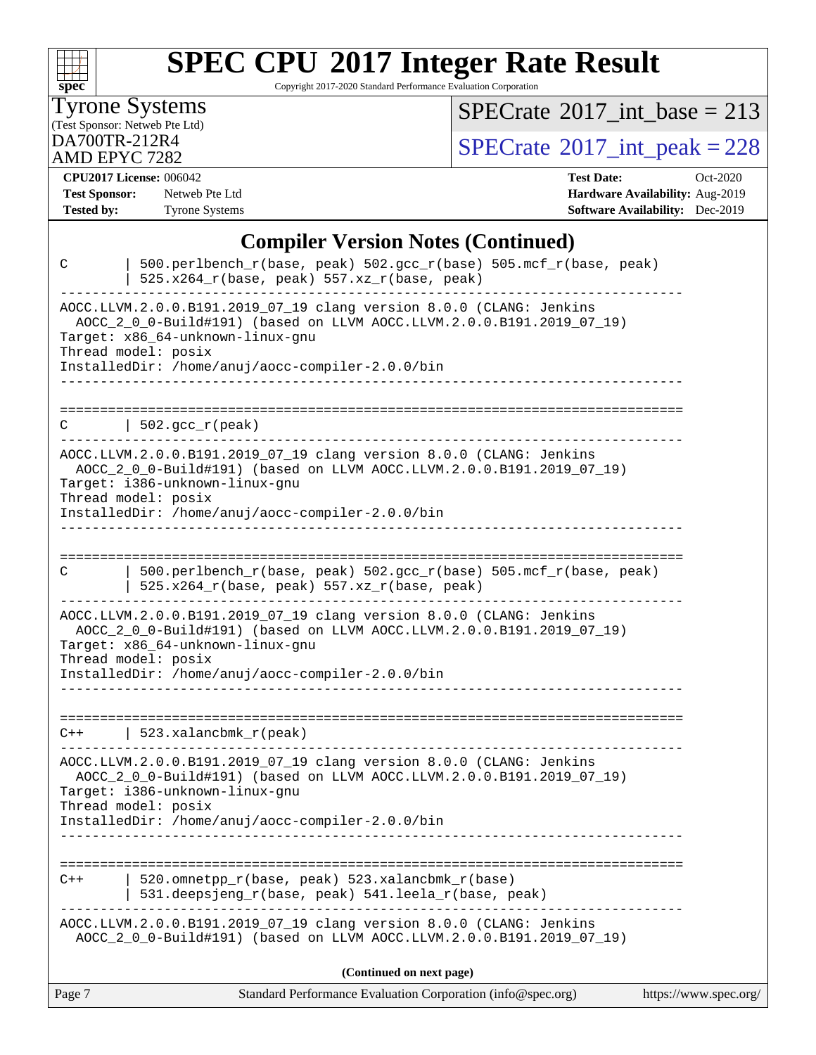

Copyright 2017-2020 Standard Performance Evaluation Corporation

### Tyrone Systems

(Test Sponsor: Netweb Pte Ltd)

AMD EPYC 7282

 $SPECTate@2017_int\_base = 213$ 

 $D_A$ <sub>200</sub>TR-212R4 [SPECrate](http://www.spec.org/auto/cpu2017/Docs/result-fields.html#SPECrate2017intpeak)<sup>®</sup>[2017\\_int\\_peak = 2](http://www.spec.org/auto/cpu2017/Docs/result-fields.html#SPECrate2017intpeak)28

**[CPU2017 License:](http://www.spec.org/auto/cpu2017/Docs/result-fields.html#CPU2017License)** 006042 **[Test Date:](http://www.spec.org/auto/cpu2017/Docs/result-fields.html#TestDate)** Oct-2020

**[Test Sponsor:](http://www.spec.org/auto/cpu2017/Docs/result-fields.html#TestSponsor)** Netweb Pte Ltd **[Hardware Availability:](http://www.spec.org/auto/cpu2017/Docs/result-fields.html#HardwareAvailability)** Aug-2019 **[Tested by:](http://www.spec.org/auto/cpu2017/Docs/result-fields.html#Testedby)** Tyrone Systems **[Software Availability:](http://www.spec.org/auto/cpu2017/Docs/result-fields.html#SoftwareAvailability)** Dec-2019

Page 7 Standard Performance Evaluation Corporation [\(info@spec.org\)](mailto:info@spec.org) <https://www.spec.org/> **[Compiler Version Notes \(Continued\)](http://www.spec.org/auto/cpu2017/Docs/result-fields.html#CompilerVersionNotes)** C | 500.perlbench\_r(base, peak) 502.gcc\_r(base) 505.mcf\_r(base, peak) | 525.x264\_r(base, peak) 557.xz\_r(base, peak) ------------------------------------------------------------------------------ AOCC.LLVM.2.0.0.B191.2019\_07\_19 clang version 8.0.0 (CLANG: Jenkins AOCC\_2\_0\_0-Build#191) (based on LLVM AOCC.LLVM.2.0.0.B191.2019\_07\_19) Target: x86\_64-unknown-linux-gnu Thread model: posix InstalledDir: /home/anuj/aocc-compiler-2.0.0/bin ------------------------------------------------------------------------------ ==============================================================================  $C \qquad \qquad \vert \quad 502.\text{gcc\_r}(\text{peak})$ ------------------------------------------------------------------------------ AOCC.LLVM.2.0.0.B191.2019\_07\_19 clang version 8.0.0 (CLANG: Jenkins AOCC\_2\_0\_0-Build#191) (based on LLVM AOCC.LLVM.2.0.0.B191.2019\_07\_19) Target: i386-unknown-linux-gnu Thread model: posix InstalledDir: /home/anuj/aocc-compiler-2.0.0/bin ------------------------------------------------------------------------------ ============================================================================== C | 500.perlbench\_r(base, peak) 502.gcc\_r(base) 505.mcf\_r(base, peak) | 525.x264 $r(base, peak)$  557.xz $r(base, peak)$ ------------------------------------------------------------------------------ AOCC.LLVM.2.0.0.B191.2019\_07\_19 clang version 8.0.0 (CLANG: Jenkins AOCC\_2\_0\_0-Build#191) (based on LLVM AOCC.LLVM.2.0.0.B191.2019\_07\_19) Target: x86\_64-unknown-linux-gnu Thread model: posix InstalledDir: /home/anuj/aocc-compiler-2.0.0/bin ------------------------------------------------------------------------------ ============================================================================== C++ | 523.xalancbmk\_r(peak) ------------------------------------------------------------------------------ AOCC.LLVM.2.0.0.B191.2019\_07\_19 clang version 8.0.0 (CLANG: Jenkins AOCC\_2\_0\_0-Build#191) (based on LLVM AOCC.LLVM.2.0.0.B191.2019\_07\_19) Target: i386-unknown-linux-gnu Thread model: posix InstalledDir: /home/anuj/aocc-compiler-2.0.0/bin ------------------------------------------------------------------------------ ============================================================================== C++ | 520.omnetpp\_r(base, peak) 523.xalancbmk\_r(base) | 531.deepsjeng\_r(base, peak) 541.leela\_r(base, peak) ------------------------------------------------------------------------------ AOCC.LLVM.2.0.0.B191.2019\_07\_19 clang version 8.0.0 (CLANG: Jenkins AOCC\_2\_0\_0-Build#191) (based on LLVM AOCC.LLVM.2.0.0.B191.2019\_07\_19) **(Continued on next page)**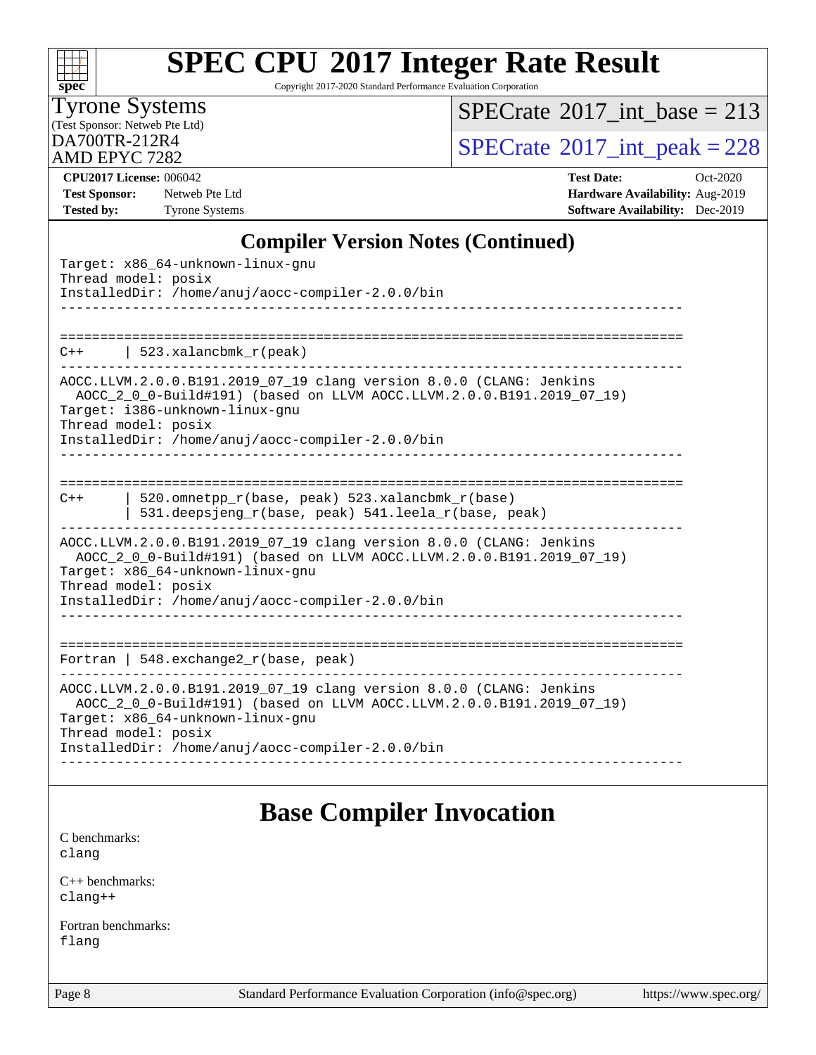

Copyright 2017-2020 Standard Performance Evaluation Corporation

### Tyrone Systems

(Test Sponsor: Netweb Pte Ltd)

AMD EPYC 7282

### $SPECrate$ <sup>®</sup>[2017\\_int\\_base =](http://www.spec.org/auto/cpu2017/Docs/result-fields.html#SPECrate2017intbase) 213

 $D_A$ <sup>212R4</sup>  $D_A$ <sub>2012</sub>  $D_B$ <sub>2017</sub>  $D_B$ <sub>2017</sub>  $D_B$ <sub>2017</sub>  $D_B$ <sub>2017</sub>  $D_B$ <sub>2028</sub>  $D_B$ <sub>2017</sub>  $D_B$ <sub>2028</sub>  $D_B$ <sub>2017</sub>  $D_B$ <sub>2028</sub>  $D_B$ <sub>2017</sub>  $D_B$ <sub>2028</sub>  $D_B$ <sub>2017</sub>  $D_B$ <sub>2028</sub>  $D_B$ <sub>2017</sub>  $D_B$ <sub>2028</sub>  $D_B$ <sub>2017</sub>  $D_B$ <sub>2028</sub>  $D_B$ <sub>2028</sub>

**[Test Sponsor:](http://www.spec.org/auto/cpu2017/Docs/result-fields.html#TestSponsor)** Netweb Pte Ltd **[Hardware Availability:](http://www.spec.org/auto/cpu2017/Docs/result-fields.html#HardwareAvailability)** Aug-2019 **[Tested by:](http://www.spec.org/auto/cpu2017/Docs/result-fields.html#Testedby)** Tyrone Systems **[Software Availability:](http://www.spec.org/auto/cpu2017/Docs/result-fields.html#SoftwareAvailability)** Dec-2019

**[CPU2017 License:](http://www.spec.org/auto/cpu2017/Docs/result-fields.html#CPU2017License)** 006042 **[Test Date:](http://www.spec.org/auto/cpu2017/Docs/result-fields.html#TestDate)** Oct-2020

### **[Compiler Version Notes \(Continued\)](http://www.spec.org/auto/cpu2017/Docs/result-fields.html#CompilerVersionNotes)**

| Target: x86_64-unknown-linux-gnu<br>Thread model: posix<br>InstalledDir: /home/anuj/aocc-compiler-2.0.0/bin<br>__________________                                                                                                                           |                                                                                                                                                                                                                                      |  |  |  |  |
|-------------------------------------------------------------------------------------------------------------------------------------------------------------------------------------------------------------------------------------------------------------|--------------------------------------------------------------------------------------------------------------------------------------------------------------------------------------------------------------------------------------|--|--|--|--|
| C++                                                                                                                                                                                                                                                         | 523.xalancbmk $r(\text{peak})$<br>____________________________________                                                                                                                                                               |  |  |  |  |
| Thread model: posix                                                                                                                                                                                                                                         | AOCC.LLVM.2.0.0.B191.2019_07_19 clang version 8.0.0 (CLANG: Jenkins<br>AOCC_2_0_0-Build#191) (based on LLVM AOCC.LLVM.2.0.0.B191.2019_07_19)<br>Target: i386-unknown-linux-qnu<br>InstalledDir: /home/anuj/aocc-compiler-2.0.0/bin   |  |  |  |  |
| $C++$                                                                                                                                                                                                                                                       | 520.omnetpp_r(base, peak) 523.xalancbmk_r(base)<br>531.deepsjeng_r(base, peak) 541.leela_r(base, peak)                                                                                                                               |  |  |  |  |
| Thread model: posix                                                                                                                                                                                                                                         | AOCC.LLVM.2.0.0.B191.2019_07_19 clang version 8.0.0 (CLANG: Jenkins<br>AOCC_2_0_0-Build#191) (based on LLVM AOCC.LLVM.2.0.0.B191.2019_07_19)<br>Target: x86_64-unknown-linux-gnu<br>InstalledDir: /home/anuj/aocc-compiler-2.0.0/bin |  |  |  |  |
|                                                                                                                                                                                                                                                             | Fortran   548. $exchange2_r(base, peak)$                                                                                                                                                                                             |  |  |  |  |
| AOCC.LLVM.2.0.0.B191.2019_07_19 clang version 8.0.0 (CLANG: Jenkins<br>AOCC_2_0_0-Build#191) (based on LLVM AOCC.LLVM.2.0.0.B191.2019_07_19)<br>Target: x86_64-unknown-linux-gnu<br>Thread model: posix<br>InstalledDir: /home/anuj/aocc-compiler-2.0.0/bin |                                                                                                                                                                                                                                      |  |  |  |  |
|                                                                                                                                                                                                                                                             | <b>Base Compiler Invocation</b>                                                                                                                                                                                                      |  |  |  |  |

#### [C benchmarks](http://www.spec.org/auto/cpu2017/Docs/result-fields.html#Cbenchmarks): [clang](http://www.spec.org/cpu2017/results/res2020q4/cpu2017-20201012-24150.flags.html#user_CCbase_clang-c)

[C++ benchmarks:](http://www.spec.org/auto/cpu2017/Docs/result-fields.html#CXXbenchmarks) [clang++](http://www.spec.org/cpu2017/results/res2020q4/cpu2017-20201012-24150.flags.html#user_CXXbase_clang-cpp)

[Fortran benchmarks](http://www.spec.org/auto/cpu2017/Docs/result-fields.html#Fortranbenchmarks): [flang](http://www.spec.org/cpu2017/results/res2020q4/cpu2017-20201012-24150.flags.html#user_FCbase_flang)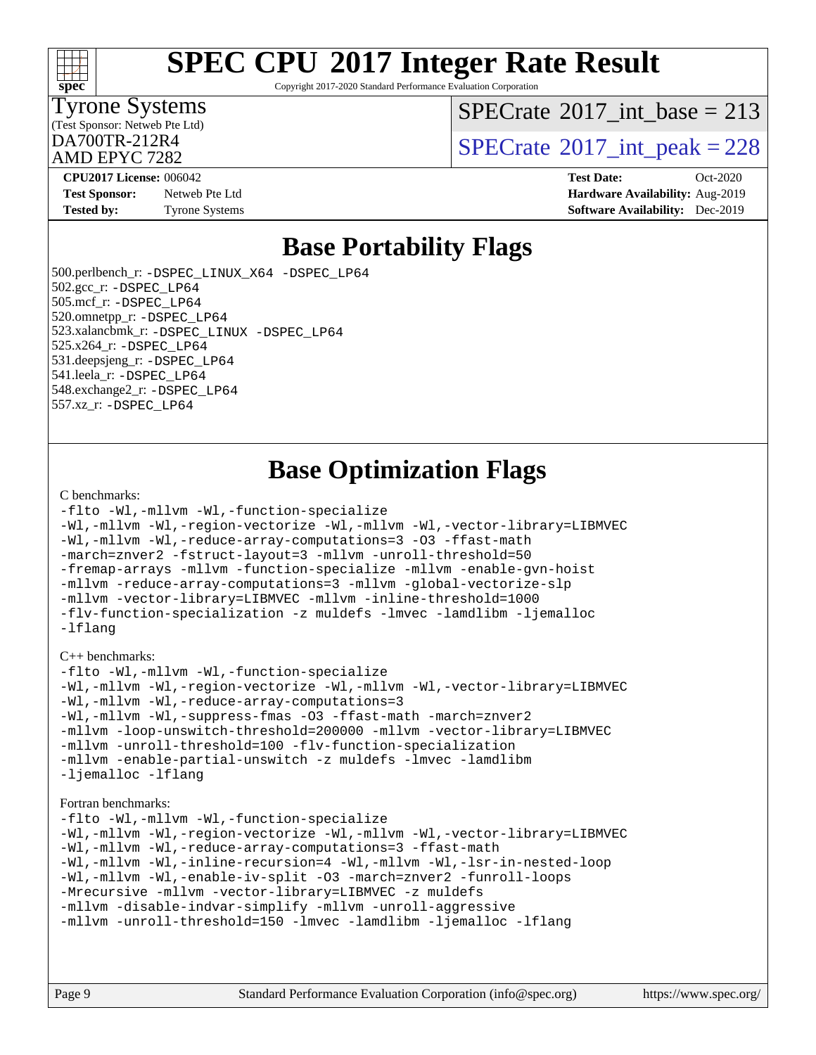

Copyright 2017-2020 Standard Performance Evaluation Corporation

### Tyrone Systems

(Test Sponsor: Netweb Pte Ltd)

AMD EPYC 7282

 $SPECTate$ <sup>®</sup>[2017\\_int\\_base =](http://www.spec.org/auto/cpu2017/Docs/result-fields.html#SPECrate2017intbase) 213

 $D_A$ <sub>AMD</sub> EDVC 7282

**[Test Sponsor:](http://www.spec.org/auto/cpu2017/Docs/result-fields.html#TestSponsor)** Netweb Pte Ltd **[Hardware Availability:](http://www.spec.org/auto/cpu2017/Docs/result-fields.html#HardwareAvailability)** Aug-2019 **[Tested by:](http://www.spec.org/auto/cpu2017/Docs/result-fields.html#Testedby)** Tyrone Systems **[Software Availability:](http://www.spec.org/auto/cpu2017/Docs/result-fields.html#SoftwareAvailability)** Dec-2019

**[CPU2017 License:](http://www.spec.org/auto/cpu2017/Docs/result-fields.html#CPU2017License)** 006042 **[Test Date:](http://www.spec.org/auto/cpu2017/Docs/result-fields.html#TestDate)** Oct-2020

## **[Base Portability Flags](http://www.spec.org/auto/cpu2017/Docs/result-fields.html#BasePortabilityFlags)**

 500.perlbench\_r: [-DSPEC\\_LINUX\\_X64](http://www.spec.org/cpu2017/results/res2020q4/cpu2017-20201012-24150.flags.html#b500.perlbench_r_basePORTABILITY_DSPEC_LINUX_X64) [-DSPEC\\_LP64](http://www.spec.org/cpu2017/results/res2020q4/cpu2017-20201012-24150.flags.html#b500.perlbench_r_baseEXTRA_PORTABILITY_DSPEC_LP64) 502.gcc\_r: [-DSPEC\\_LP64](http://www.spec.org/cpu2017/results/res2020q4/cpu2017-20201012-24150.flags.html#suite_baseEXTRA_PORTABILITY502_gcc_r_DSPEC_LP64) 505.mcf\_r: [-DSPEC\\_LP64](http://www.spec.org/cpu2017/results/res2020q4/cpu2017-20201012-24150.flags.html#suite_baseEXTRA_PORTABILITY505_mcf_r_DSPEC_LP64) 520.omnetpp\_r: [-DSPEC\\_LP64](http://www.spec.org/cpu2017/results/res2020q4/cpu2017-20201012-24150.flags.html#suite_baseEXTRA_PORTABILITY520_omnetpp_r_DSPEC_LP64) 523.xalancbmk\_r: [-DSPEC\\_LINUX](http://www.spec.org/cpu2017/results/res2020q4/cpu2017-20201012-24150.flags.html#b523.xalancbmk_r_basePORTABILITY_DSPEC_LINUX) [-DSPEC\\_LP64](http://www.spec.org/cpu2017/results/res2020q4/cpu2017-20201012-24150.flags.html#suite_baseEXTRA_PORTABILITY523_xalancbmk_r_DSPEC_LP64) 525.x264\_r: [-DSPEC\\_LP64](http://www.spec.org/cpu2017/results/res2020q4/cpu2017-20201012-24150.flags.html#suite_baseEXTRA_PORTABILITY525_x264_r_DSPEC_LP64) 531.deepsjeng\_r: [-DSPEC\\_LP64](http://www.spec.org/cpu2017/results/res2020q4/cpu2017-20201012-24150.flags.html#suite_baseEXTRA_PORTABILITY531_deepsjeng_r_DSPEC_LP64) 541.leela\_r: [-DSPEC\\_LP64](http://www.spec.org/cpu2017/results/res2020q4/cpu2017-20201012-24150.flags.html#suite_baseEXTRA_PORTABILITY541_leela_r_DSPEC_LP64) 548.exchange2\_r: [-DSPEC\\_LP64](http://www.spec.org/cpu2017/results/res2020q4/cpu2017-20201012-24150.flags.html#suite_baseEXTRA_PORTABILITY548_exchange2_r_DSPEC_LP64) 557.xz\_r: [-DSPEC\\_LP64](http://www.spec.org/cpu2017/results/res2020q4/cpu2017-20201012-24150.flags.html#suite_baseEXTRA_PORTABILITY557_xz_r_DSPEC_LP64)

# **[Base Optimization Flags](http://www.spec.org/auto/cpu2017/Docs/result-fields.html#BaseOptimizationFlags)**

#### [C benchmarks](http://www.spec.org/auto/cpu2017/Docs/result-fields.html#Cbenchmarks):

```
-flto -Wl,-mllvm -Wl,-function-specialize
-Wl,-mllvm -Wl,-region-vectorize -Wl,-mllvm -Wl,-vector-library=LIBMVEC
-Wl,-mllvm -Wl,-reduce-array-computations=3 -O3 -ffast-math
-march=znver2 -fstruct-layout=3 -mllvm -unroll-threshold=50
-fremap-arrays -mllvm -function-specialize -mllvm -enable-gvn-hoist
-mllvm -reduce-array-computations=3 -mllvm -global-vectorize-slp
-mllvm -vector-library=LIBMVEC -mllvm -inline-threshold=1000
-flv-function-specialization -z muldefs -lmvec -lamdlibm -ljemalloc
-lflang
```
#### [C++ benchmarks:](http://www.spec.org/auto/cpu2017/Docs/result-fields.html#CXXbenchmarks)

```
-flto -Wl,-mllvm -Wl,-function-specialize
-Wl,-mllvm -Wl,-region-vectorize -Wl,-mllvm -Wl,-vector-library=LIBMVEC
-Wl,-mllvm -Wl,-reduce-array-computations=3
-Wl,-mllvm -Wl,-suppress-fmas -O3 -ffast-math -march=znver2
-mllvm -loop-unswitch-threshold=200000 -mllvm -vector-library=LIBMVEC
-mllvm -unroll-threshold=100 -flv-function-specialization
-mllvm -enable-partial-unswitch -z muldefs -lmvec -lamdlibm
-ljemalloc -lflang
```
#### [Fortran benchmarks](http://www.spec.org/auto/cpu2017/Docs/result-fields.html#Fortranbenchmarks):

```
-flto -Wl,-mllvm -Wl,-function-specialize
-Wl,-mllvm -Wl,-region-vectorize -Wl,-mllvm -Wl,-vector-library=LIBMVEC
-Wl,-mllvm -Wl,-reduce-array-computations=3 -ffast-math
-Wl,-mllvm -Wl,-inline-recursion=4 -Wl,-mllvm -Wl,-lsr-in-nested-loop
-Wl,-mllvm -Wl,-enable-iv-split -O3 -march=znver2 -funroll-loops
-Mrecursive -mllvm -vector-library=LIBMVEC -z muldefs
-mllvm -disable-indvar-simplify -mllvm -unroll-aggressive
-mllvm -unroll-threshold=150 -lmvec -lamdlibm -ljemalloc -lflang
```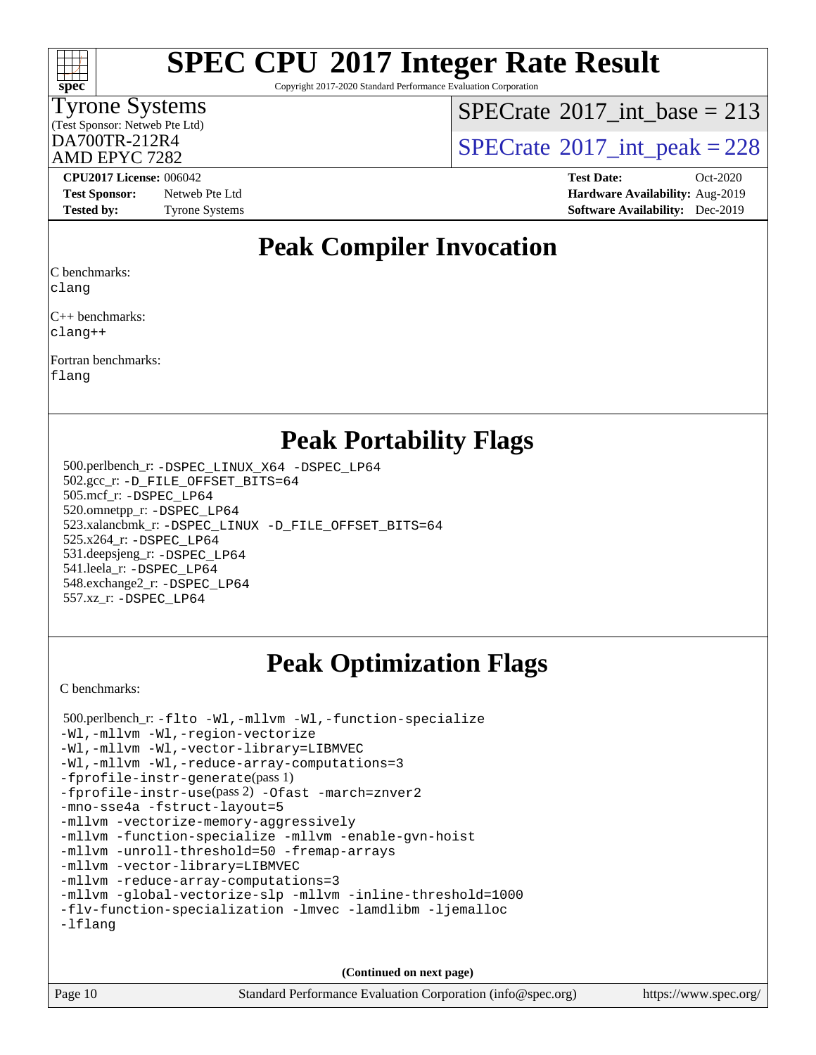

Copyright 2017-2020 Standard Performance Evaluation Corporation

### Tyrone Systems

(Test Sponsor: Netweb Pte Ltd)

AMD EPYC 7282

 $SPECTate$ <sup>®</sup>[2017\\_int\\_base =](http://www.spec.org/auto/cpu2017/Docs/result-fields.html#SPECrate2017intbase) 213

 $D_A$ <sub>200</sub>TR-212R4 [SPECrate](http://www.spec.org/auto/cpu2017/Docs/result-fields.html#SPECrate2017intpeak)<sup>®</sup>[2017\\_int\\_peak = 2](http://www.spec.org/auto/cpu2017/Docs/result-fields.html#SPECrate2017intpeak)28

**[Test Sponsor:](http://www.spec.org/auto/cpu2017/Docs/result-fields.html#TestSponsor)** Netweb Pte Ltd **[Hardware Availability:](http://www.spec.org/auto/cpu2017/Docs/result-fields.html#HardwareAvailability)** Aug-2019 **[Tested by:](http://www.spec.org/auto/cpu2017/Docs/result-fields.html#Testedby)** Tyrone Systems **[Software Availability:](http://www.spec.org/auto/cpu2017/Docs/result-fields.html#SoftwareAvailability)** Dec-2019

**[CPU2017 License:](http://www.spec.org/auto/cpu2017/Docs/result-fields.html#CPU2017License)** 006042 **[Test Date:](http://www.spec.org/auto/cpu2017/Docs/result-fields.html#TestDate)** Oct-2020

## **[Peak Compiler Invocation](http://www.spec.org/auto/cpu2017/Docs/result-fields.html#PeakCompilerInvocation)**

[C benchmarks](http://www.spec.org/auto/cpu2017/Docs/result-fields.html#Cbenchmarks):

[clang](http://www.spec.org/cpu2017/results/res2020q4/cpu2017-20201012-24150.flags.html#user_CCpeak_clang-c)

[C++ benchmarks:](http://www.spec.org/auto/cpu2017/Docs/result-fields.html#CXXbenchmarks) [clang++](http://www.spec.org/cpu2017/results/res2020q4/cpu2017-20201012-24150.flags.html#user_CXXpeak_clang-cpp)

[Fortran benchmarks](http://www.spec.org/auto/cpu2017/Docs/result-fields.html#Fortranbenchmarks): [flang](http://www.spec.org/cpu2017/results/res2020q4/cpu2017-20201012-24150.flags.html#user_FCpeak_flang)

**[Peak Portability Flags](http://www.spec.org/auto/cpu2017/Docs/result-fields.html#PeakPortabilityFlags)**

 500.perlbench\_r: [-DSPEC\\_LINUX\\_X64](http://www.spec.org/cpu2017/results/res2020q4/cpu2017-20201012-24150.flags.html#b500.perlbench_r_peakPORTABILITY_DSPEC_LINUX_X64) [-DSPEC\\_LP64](http://www.spec.org/cpu2017/results/res2020q4/cpu2017-20201012-24150.flags.html#b500.perlbench_r_peakEXTRA_PORTABILITY_DSPEC_LP64) 502.gcc\_r: [-D\\_FILE\\_OFFSET\\_BITS=64](http://www.spec.org/cpu2017/results/res2020q4/cpu2017-20201012-24150.flags.html#user_peakEXTRA_PORTABILITY502_gcc_r_F-D_FILE_OFFSET_BITS_5ae949a99b284ddf4e95728d47cb0843d81b2eb0e18bdfe74bbf0f61d0b064f4bda2f10ea5eb90e1dcab0e84dbc592acfc5018bc955c18609f94ddb8d550002c) 505.mcf\_r: [-DSPEC\\_LP64](http://www.spec.org/cpu2017/results/res2020q4/cpu2017-20201012-24150.flags.html#suite_peakEXTRA_PORTABILITY505_mcf_r_DSPEC_LP64) 520.omnetpp\_r: [-DSPEC\\_LP64](http://www.spec.org/cpu2017/results/res2020q4/cpu2017-20201012-24150.flags.html#suite_peakEXTRA_PORTABILITY520_omnetpp_r_DSPEC_LP64) 523.xalancbmk\_r: [-DSPEC\\_LINUX](http://www.spec.org/cpu2017/results/res2020q4/cpu2017-20201012-24150.flags.html#b523.xalancbmk_r_peakPORTABILITY_DSPEC_LINUX) [-D\\_FILE\\_OFFSET\\_BITS=64](http://www.spec.org/cpu2017/results/res2020q4/cpu2017-20201012-24150.flags.html#user_peakEXTRA_PORTABILITY523_xalancbmk_r_F-D_FILE_OFFSET_BITS_5ae949a99b284ddf4e95728d47cb0843d81b2eb0e18bdfe74bbf0f61d0b064f4bda2f10ea5eb90e1dcab0e84dbc592acfc5018bc955c18609f94ddb8d550002c) 525.x264\_r: [-DSPEC\\_LP64](http://www.spec.org/cpu2017/results/res2020q4/cpu2017-20201012-24150.flags.html#suite_peakEXTRA_PORTABILITY525_x264_r_DSPEC_LP64) 531.deepsjeng\_r: [-DSPEC\\_LP64](http://www.spec.org/cpu2017/results/res2020q4/cpu2017-20201012-24150.flags.html#suite_peakEXTRA_PORTABILITY531_deepsjeng_r_DSPEC_LP64) 541.leela\_r: [-DSPEC\\_LP64](http://www.spec.org/cpu2017/results/res2020q4/cpu2017-20201012-24150.flags.html#suite_peakEXTRA_PORTABILITY541_leela_r_DSPEC_LP64) 548.exchange2\_r: [-DSPEC\\_LP64](http://www.spec.org/cpu2017/results/res2020q4/cpu2017-20201012-24150.flags.html#suite_peakEXTRA_PORTABILITY548_exchange2_r_DSPEC_LP64) 557.xz\_r: [-DSPEC\\_LP64](http://www.spec.org/cpu2017/results/res2020q4/cpu2017-20201012-24150.flags.html#suite_peakEXTRA_PORTABILITY557_xz_r_DSPEC_LP64)

# **[Peak Optimization Flags](http://www.spec.org/auto/cpu2017/Docs/result-fields.html#PeakOptimizationFlags)**

[C benchmarks](http://www.spec.org/auto/cpu2017/Docs/result-fields.html#Cbenchmarks):

 500.perlbench\_r: [-flto](http://www.spec.org/cpu2017/results/res2020q4/cpu2017-20201012-24150.flags.html#user_peakCOPTIMIZELDFLAGS500_perlbench_r_aocc-flto) [-Wl,-mllvm -Wl,-function-specialize](http://www.spec.org/cpu2017/results/res2020q4/cpu2017-20201012-24150.flags.html#user_peakLDFLAGS500_perlbench_r_F-function-specialize_7e7e661e57922243ee67c9a1251cb8910e607325179a0ce7f2884e09a6f5d4a5ef0ae4f37e8a2a11c95fc48e931f06dc2b6016f14b511fcb441e048bef1b065a) [-Wl,-mllvm -Wl,-region-vectorize](http://www.spec.org/cpu2017/results/res2020q4/cpu2017-20201012-24150.flags.html#user_peakLDFLAGS500_perlbench_r_F-region-vectorize_fb6c6b5aa293c88efc6c7c2b52b20755e943585b1fe8658c35afef78727fff56e1a56891413c30e36b8e2a6f9a71126986319243e80eb6110b78b288f533c52b) [-Wl,-mllvm -Wl,-vector-library=LIBMVEC](http://www.spec.org/cpu2017/results/res2020q4/cpu2017-20201012-24150.flags.html#user_peakLDFLAGS500_perlbench_r_F-use-vector-library_0a14b27fae317f283640384a31f7bfcc2bd4c1d0b5cfc618a3a430800c9b20217b00f61303eff223a3251b4f06ffbc9739dc5296db9d1fbb9ad24a3939d86d66) [-Wl,-mllvm -Wl,-reduce-array-computations=3](http://www.spec.org/cpu2017/results/res2020q4/cpu2017-20201012-24150.flags.html#user_peakLDFLAGS500_perlbench_r_F-reduce-array-computations_b882aefe7a5dda4e33149f6299762b9a720dace3e498e13756f4c04e5a19edf5315c1f3993de2e61ec41e8c206231f84e05da7040e1bb5d69ba27d10a12507e4) [-fprofile-instr-generate](http://www.spec.org/cpu2017/results/res2020q4/cpu2017-20201012-24150.flags.html#user_peakPASS1_CFLAGSPASS1_LDFLAGS500_perlbench_r_F-fprofile-instr-generate)(pass 1) [-fprofile-instr-use](http://www.spec.org/cpu2017/results/res2020q4/cpu2017-20201012-24150.flags.html#user_peakPASS2_CFLAGSPASS2_LDFLAGS500_perlbench_r_F-fprofile-instr-use)(pass 2) [-Ofast](http://www.spec.org/cpu2017/results/res2020q4/cpu2017-20201012-24150.flags.html#user_peakCOPTIMIZE500_perlbench_r_aocc-Ofast) [-march=znver2](http://www.spec.org/cpu2017/results/res2020q4/cpu2017-20201012-24150.flags.html#user_peakCOPTIMIZE500_perlbench_r_aocc-march_3e2e19cff2eeef60c5d90b059483627c9ea47eca6d66670dbd53f9185f6439e27eb5e104cf773e9e8ab18c8842ce63e461a3e948d0214bd567ef3ade411bf467) [-mno-sse4a](http://www.spec.org/cpu2017/results/res2020q4/cpu2017-20201012-24150.flags.html#user_peakCOPTIMIZE500_perlbench_r_F-mno-sse4a) [-fstruct-layout=5](http://www.spec.org/cpu2017/results/res2020q4/cpu2017-20201012-24150.flags.html#user_peakCOPTIMIZE500_perlbench_r_F-struct-layout_0de9d3561e9f54a54e0843cce081bd13a08ab3e9a82696f3346606c2e11360c37113781019b02fa128d9f650e68f1ffd209bab5c3a026c1ad23e4e7f60646b23) [-mllvm -vectorize-memory-aggressively](http://www.spec.org/cpu2017/results/res2020q4/cpu2017-20201012-24150.flags.html#user_peakCOPTIMIZE500_perlbench_r_F-vectorize-memory-aggressively_24b72a4417f50ade9e698c5b3bed87ab456cc6fc8ec6439480cb84f36ad6a3975af6e87206dea402e3871a1464ff3d60bc798e0250f330177ba629a260df1857) [-mllvm -function-specialize](http://www.spec.org/cpu2017/results/res2020q4/cpu2017-20201012-24150.flags.html#user_peakCOPTIMIZE500_perlbench_r_F-function-specialize_233b3bdba86027f1b094368157e481c5bc59f40286dc25bfadc1858dcd5745c24fd30d5f188710db7fea399bcc9f44a80b3ce3aacc70a8870250c3ae5e1f35b8) [-mllvm -enable-gvn-hoist](http://www.spec.org/cpu2017/results/res2020q4/cpu2017-20201012-24150.flags.html#user_peakCOPTIMIZE500_perlbench_r_F-enable-gvn-hoist_e5856354646dd6ca1333a0ad99b817e4cf8932b91b82809fd8fd47ceff7b22a89eba5c98fd3e3fa5200368fd772cec3dd56abc3c8f7b655a71b9f9848dddedd5) [-mllvm -unroll-threshold=50](http://www.spec.org/cpu2017/results/res2020q4/cpu2017-20201012-24150.flags.html#user_peakCOPTIMIZE500_perlbench_r_F-unroll-threshold_458874500b2c105d6d5cb4d7a611c40e2b16e9e3d26b355fea72d644c3673b4de4b3932662f0ed3dbec75c491a13da2d2ca81180bd779dc531083ef1e1e549dc) [-fremap-arrays](http://www.spec.org/cpu2017/results/res2020q4/cpu2017-20201012-24150.flags.html#user_peakCOPTIMIZE500_perlbench_r_F-fremap-arrays) [-mllvm -vector-library=LIBMVEC](http://www.spec.org/cpu2017/results/res2020q4/cpu2017-20201012-24150.flags.html#user_peakCOPTIMIZE500_perlbench_r_F-use-vector-library_e584e20b4f7ec96aa109254b65d8e01d864f3d68580371b9d93ed7c338191d4cfce20c3c864632264effc6bbe4c7c38153d02096a342ee92501c4a53204a7871) [-mllvm -reduce-array-computations=3](http://www.spec.org/cpu2017/results/res2020q4/cpu2017-20201012-24150.flags.html#user_peakCOPTIMIZE500_perlbench_r_F-reduce-array-computations_aceadb8604558b566e0e3a0d7a3c1533923dd1fa0889614e16288028922629a28d5695c24d3b3be4306b1e311c54317dfffe3a2e57fbcaabc737a1798de39145) [-mllvm -global-vectorize-slp](http://www.spec.org/cpu2017/results/res2020q4/cpu2017-20201012-24150.flags.html#user_peakCOPTIMIZE500_perlbench_r_F-global-vectorize-slp_a3935e8627af4ced727033b1ffd4db27f4d541a363d28d82bf4c2925fb3a0fd4115d6e42d13a2829f9e024d6608eb67a85cb49770f2da5c5ac8dbc737afad603) [-mllvm -inline-threshold=1000](http://www.spec.org/cpu2017/results/res2020q4/cpu2017-20201012-24150.flags.html#user_peakCOPTIMIZE500_perlbench_r_dragonegg-llvm-inline-threshold_b7832241b0a6397e4ecdbaf0eb7defdc10f885c2a282fa3240fdc99844d543fda39cf8a4a9dccf68cf19b5438ac3b455264f478df15da0f4988afa40d8243bab) [-flv-function-specialization](http://www.spec.org/cpu2017/results/res2020q4/cpu2017-20201012-24150.flags.html#user_peakCOPTIMIZE500_perlbench_r_F-flv-function-specialization) [-lmvec](http://www.spec.org/cpu2017/results/res2020q4/cpu2017-20201012-24150.flags.html#user_peakEXTRA_LIBSMATH_LIBS500_perlbench_r_F-lmvec) [-lamdlibm](http://www.spec.org/cpu2017/results/res2020q4/cpu2017-20201012-24150.flags.html#user_peakEXTRA_LIBSMATH_LIBS500_perlbench_r_F-lamdlibm) [-ljemalloc](http://www.spec.org/cpu2017/results/res2020q4/cpu2017-20201012-24150.flags.html#user_peakEXTRA_LIBS500_perlbench_r_jemalloc-lib) [-lflang](http://www.spec.org/cpu2017/results/res2020q4/cpu2017-20201012-24150.flags.html#user_peakEXTRA_LIBS500_perlbench_r_F-lflang)

**(Continued on next page)**

Page 10 Standard Performance Evaluation Corporation [\(info@spec.org\)](mailto:info@spec.org) <https://www.spec.org/>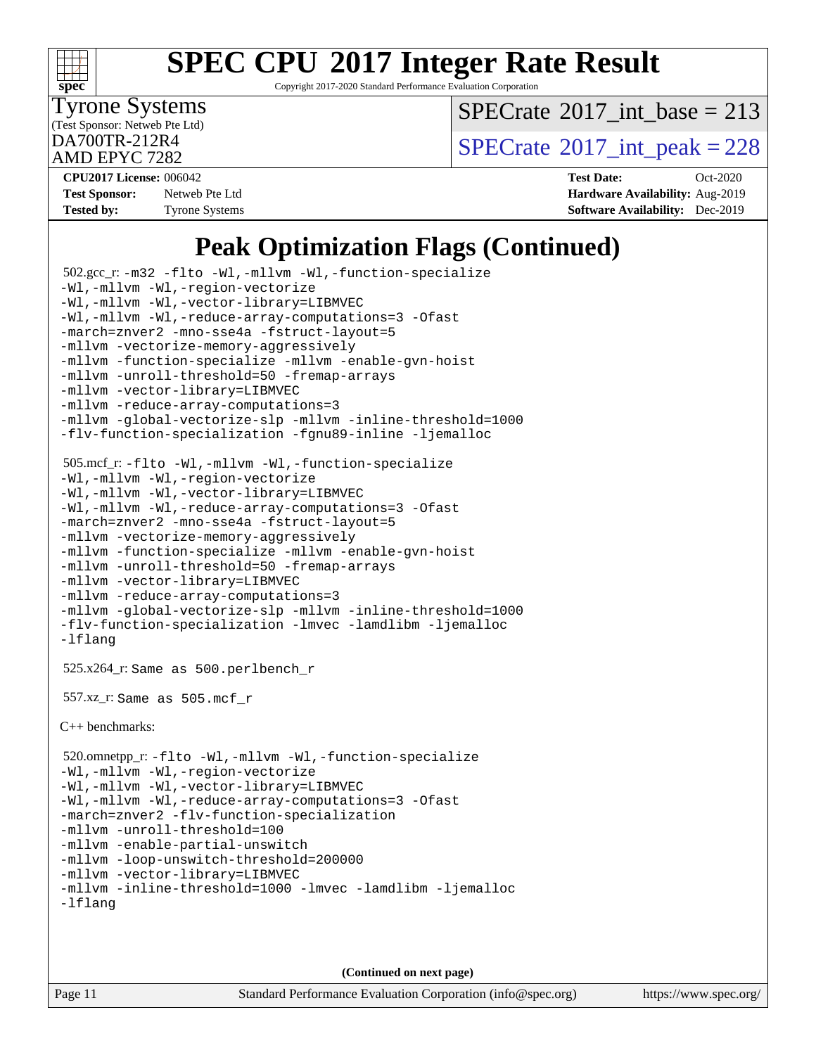

Copyright 2017-2020 Standard Performance Evaluation Corporation

Tyrone Systems

(Test Sponsor: Netweb Pte Ltd)

 $SPECTate$ <sup>®</sup>[2017\\_int\\_base =](http://www.spec.org/auto/cpu2017/Docs/result-fields.html#SPECrate2017intbase) 213

 $\text{D}$ A700TR-212R4 [SPECrate](http://www.spec.org/auto/cpu2017/Docs/result-fields.html#SPECrate2017intpeak)®[2017\\_int\\_peak = 2](http://www.spec.org/auto/cpu2017/Docs/result-fields.html#SPECrate2017intpeak)28

AMD EPYC 7282

| <b>Test Sponsor:</b> | Netweb Pte Ltd        |
|----------------------|-----------------------|
| <b>Tested by:</b>    | <b>Tyrone Systems</b> |

**[CPU2017 License:](http://www.spec.org/auto/cpu2017/Docs/result-fields.html#CPU2017License)** 006042 **[Test Date:](http://www.spec.org/auto/cpu2017/Docs/result-fields.html#TestDate)** Oct-2020 **[Hardware Availability:](http://www.spec.org/auto/cpu2017/Docs/result-fields.html#HardwareAvailability)** Aug-2019 **[Software Availability:](http://www.spec.org/auto/cpu2017/Docs/result-fields.html#SoftwareAvailability)** Dec-2019

# **[Peak Optimization Flags \(Continued\)](http://www.spec.org/auto/cpu2017/Docs/result-fields.html#PeakOptimizationFlags)**

```
 502.gcc_r: -m32 -flto -Wl,-mllvm -Wl,-function-specialize
-Wl,-mllvm -Wl,-region-vectorize
-Wl,-mllvm -Wl,-vector-library=LIBMVEC
-Wl,-mllvm -Wl,-reduce-array-computations=3 -Ofast
-march=znver2 -mno-sse4a -fstruct-layout=5
-mllvm -vectorize-memory-aggressively
-mllvm -function-specialize -mllvm -enable-gvn-hoist
-mllvm -unroll-threshold=50 -fremap-arrays
-mllvm -vector-library=LIBMVEC
-mllvm -reduce-array-computations=3
-mllvm -global-vectorize-slp -mllvm -inline-threshold=1000
-flv-function-specialization -fgnu89-inline -ljemalloc
 505.mcf_r: -flto -Wl,-mllvm -Wl,-function-specialize
-Wl,-mllvm -Wl,-region-vectorize
-Wl,-mllvm -Wl,-vector-library=LIBMVEC
-Wl,-mllvm -Wl,-reduce-array-computations=3 -Ofast
-march=znver2 -mno-sse4a -fstruct-layout=5
-mllvm -vectorize-memory-aggressively
-mllvm -function-specialize -mllvm -enable-gvn-hoist
-mllvm -unroll-threshold=50 -fremap-arrays
-mllvm -vector-library=LIBMVEC
-mllvm -reduce-array-computations=3
-mllvm -global-vectorize-slp -mllvm -inline-threshold=1000
-flv-function-specialization -lmvec -lamdlibm -ljemalloc
-lflang
 525.x264_r: Same as 500.perlbench_r
 557.xz_r: Same as 505.mcf_r
C++ benchmarks: 
 520.omnetpp_r: -flto -Wl,-mllvm -Wl,-function-specialize
-Wl,-mllvm -Wl,-region-vectorize
-Wl,-mllvm -Wl,-vector-library=LIBMVEC
-Wl,-mllvm -Wl,-reduce-array-computations=3 -Ofast
-march=znver2 -flv-function-specialization
-mllvm -unroll-threshold=100
-mllvm -enable-partial-unswitch
-mllvm -loop-unswitch-threshold=200000
-mllvm -vector-library=LIBMVEC
-mllvm -inline-threshold=1000 -lmvec -lamdlibm -ljemalloc
-lflang
```
**(Continued on next page)**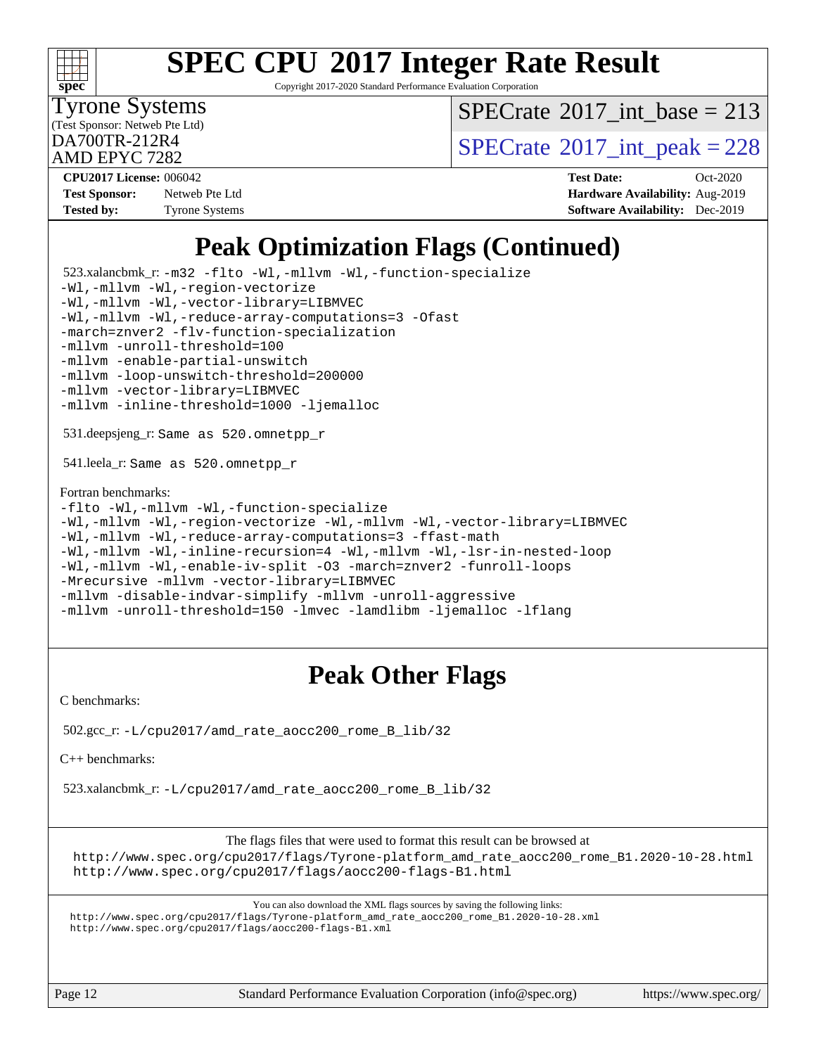

Copyright 2017-2020 Standard Performance Evaluation Corporation

Tyrone Systems

(Test Sponsor: Netweb Pte Ltd)

 $SPECTate$ <sup>®</sup>[2017\\_int\\_base =](http://www.spec.org/auto/cpu2017/Docs/result-fields.html#SPECrate2017intbase) 213

 $\text{D}A700TR-212R4$ <br>AMD EDVC 7282

AMD EPYC 7282

| <b>Test Sponsor:</b> | Netweb Pte Ltd        |
|----------------------|-----------------------|
| <b>Tested by:</b>    | <b>Tyrone Systems</b> |

**[CPU2017 License:](http://www.spec.org/auto/cpu2017/Docs/result-fields.html#CPU2017License)** 006042 **[Test Date:](http://www.spec.org/auto/cpu2017/Docs/result-fields.html#TestDate)** Oct-2020 **[Hardware Availability:](http://www.spec.org/auto/cpu2017/Docs/result-fields.html#HardwareAvailability)** Aug-2019 **[Software Availability:](http://www.spec.org/auto/cpu2017/Docs/result-fields.html#SoftwareAvailability)** Dec-2019

# **[Peak Optimization Flags \(Continued\)](http://www.spec.org/auto/cpu2017/Docs/result-fields.html#PeakOptimizationFlags)**

 523.xalancbmk\_r: [-m32](http://www.spec.org/cpu2017/results/res2020q4/cpu2017-20201012-24150.flags.html#user_peakCXXLD523_xalancbmk_r_F-m32) [-flto](http://www.spec.org/cpu2017/results/res2020q4/cpu2017-20201012-24150.flags.html#user_peakCXXOPTIMIZELDFLAGS523_xalancbmk_r_aocc-flto) [-Wl,-mllvm -Wl,-function-specialize](http://www.spec.org/cpu2017/results/res2020q4/cpu2017-20201012-24150.flags.html#user_peakLDFLAGS523_xalancbmk_r_F-function-specialize_7e7e661e57922243ee67c9a1251cb8910e607325179a0ce7f2884e09a6f5d4a5ef0ae4f37e8a2a11c95fc48e931f06dc2b6016f14b511fcb441e048bef1b065a) [-Wl,-mllvm -Wl,-region-vectorize](http://www.spec.org/cpu2017/results/res2020q4/cpu2017-20201012-24150.flags.html#user_peakLDFLAGS523_xalancbmk_r_F-region-vectorize_fb6c6b5aa293c88efc6c7c2b52b20755e943585b1fe8658c35afef78727fff56e1a56891413c30e36b8e2a6f9a71126986319243e80eb6110b78b288f533c52b) [-Wl,-mllvm -Wl,-vector-library=LIBMVEC](http://www.spec.org/cpu2017/results/res2020q4/cpu2017-20201012-24150.flags.html#user_peakLDFLAGS523_xalancbmk_r_F-use-vector-library_0a14b27fae317f283640384a31f7bfcc2bd4c1d0b5cfc618a3a430800c9b20217b00f61303eff223a3251b4f06ffbc9739dc5296db9d1fbb9ad24a3939d86d66) [-Wl,-mllvm -Wl,-reduce-array-computations=3](http://www.spec.org/cpu2017/results/res2020q4/cpu2017-20201012-24150.flags.html#user_peakLDFLAGS523_xalancbmk_r_F-reduce-array-computations_b882aefe7a5dda4e33149f6299762b9a720dace3e498e13756f4c04e5a19edf5315c1f3993de2e61ec41e8c206231f84e05da7040e1bb5d69ba27d10a12507e4) [-Ofast](http://www.spec.org/cpu2017/results/res2020q4/cpu2017-20201012-24150.flags.html#user_peakCXXOPTIMIZE523_xalancbmk_r_aocc-Ofast) [-march=znver2](http://www.spec.org/cpu2017/results/res2020q4/cpu2017-20201012-24150.flags.html#user_peakCXXOPTIMIZE523_xalancbmk_r_aocc-march_3e2e19cff2eeef60c5d90b059483627c9ea47eca6d66670dbd53f9185f6439e27eb5e104cf773e9e8ab18c8842ce63e461a3e948d0214bd567ef3ade411bf467) [-flv-function-specialization](http://www.spec.org/cpu2017/results/res2020q4/cpu2017-20201012-24150.flags.html#user_peakCXXOPTIMIZE523_xalancbmk_r_F-flv-function-specialization) [-mllvm -unroll-threshold=100](http://www.spec.org/cpu2017/results/res2020q4/cpu2017-20201012-24150.flags.html#user_peakCXXOPTIMIZE523_xalancbmk_r_F-unroll-threshold_2755d0c78138845d361fa1543e3a063fffa198df9b3edf0cfb856bbc88a81e1769b12ac7a550c5d35197be55360db1a3f95a8d1304df999456cabf5120c45168) [-mllvm -enable-partial-unswitch](http://www.spec.org/cpu2017/results/res2020q4/cpu2017-20201012-24150.flags.html#user_peakCXXOPTIMIZE523_xalancbmk_r_F-enable-partial-unswitch_6e1c33f981d77963b1eaf834973128a7f33ce3f8e27f54689656697a35e89dcc875281e0e6283d043e32f367dcb605ba0e307a92e830f7e326789fa6c61b35d3) [-mllvm -loop-unswitch-threshold=200000](http://www.spec.org/cpu2017/results/res2020q4/cpu2017-20201012-24150.flags.html#user_peakCXXOPTIMIZE523_xalancbmk_r_F-loop-unswitch-threshold_f9a82ae3270e55b5fbf79d0d96ee93606b73edbbe527d20b18b7bff1a3a146ad50cfc7454c5297978340ae9213029016a7d16221274d672d3f7f42ed25274e1d) [-mllvm -vector-library=LIBMVEC](http://www.spec.org/cpu2017/results/res2020q4/cpu2017-20201012-24150.flags.html#user_peakCXXOPTIMIZE523_xalancbmk_r_F-use-vector-library_e584e20b4f7ec96aa109254b65d8e01d864f3d68580371b9d93ed7c338191d4cfce20c3c864632264effc6bbe4c7c38153d02096a342ee92501c4a53204a7871) [-mllvm -inline-threshold=1000](http://www.spec.org/cpu2017/results/res2020q4/cpu2017-20201012-24150.flags.html#user_peakCXXOPTIMIZE523_xalancbmk_r_dragonegg-llvm-inline-threshold_b7832241b0a6397e4ecdbaf0eb7defdc10f885c2a282fa3240fdc99844d543fda39cf8a4a9dccf68cf19b5438ac3b455264f478df15da0f4988afa40d8243bab) [-ljemalloc](http://www.spec.org/cpu2017/results/res2020q4/cpu2017-20201012-24150.flags.html#user_peakEXTRA_LIBS523_xalancbmk_r_jemalloc-lib) 531.deepsjeng\_r: Same as 520.omnetpp\_r 541.leela\_r: Same as 520.omnetpp\_r [Fortran benchmarks](http://www.spec.org/auto/cpu2017/Docs/result-fields.html#Fortranbenchmarks): [-flto](http://www.spec.org/cpu2017/results/res2020q4/cpu2017-20201012-24150.flags.html#user_FCpeak_aocc-flto) [-Wl,-mllvm -Wl,-function-specialize](http://www.spec.org/cpu2017/results/res2020q4/cpu2017-20201012-24150.flags.html#user_FCpeak_F-function-specialize_7e7e661e57922243ee67c9a1251cb8910e607325179a0ce7f2884e09a6f5d4a5ef0ae4f37e8a2a11c95fc48e931f06dc2b6016f14b511fcb441e048bef1b065a) [-Wl,-mllvm -Wl,-region-vectorize](http://www.spec.org/cpu2017/results/res2020q4/cpu2017-20201012-24150.flags.html#user_FCpeak_F-region-vectorize_fb6c6b5aa293c88efc6c7c2b52b20755e943585b1fe8658c35afef78727fff56e1a56891413c30e36b8e2a6f9a71126986319243e80eb6110b78b288f533c52b) [-Wl,-mllvm -Wl,-vector-library=LIBMVEC](http://www.spec.org/cpu2017/results/res2020q4/cpu2017-20201012-24150.flags.html#user_FCpeak_F-use-vector-library_0a14b27fae317f283640384a31f7bfcc2bd4c1d0b5cfc618a3a430800c9b20217b00f61303eff223a3251b4f06ffbc9739dc5296db9d1fbb9ad24a3939d86d66) [-Wl,-mllvm -Wl,-reduce-array-computations=3](http://www.spec.org/cpu2017/results/res2020q4/cpu2017-20201012-24150.flags.html#user_FCpeak_F-reduce-array-computations_b882aefe7a5dda4e33149f6299762b9a720dace3e498e13756f4c04e5a19edf5315c1f3993de2e61ec41e8c206231f84e05da7040e1bb5d69ba27d10a12507e4) [-ffast-math](http://www.spec.org/cpu2017/results/res2020q4/cpu2017-20201012-24150.flags.html#user_FCpeak_aocc-ffast-math) [-Wl,-mllvm -Wl,-inline-recursion=4](http://www.spec.org/cpu2017/results/res2020q4/cpu2017-20201012-24150.flags.html#user_FCpeak_F-inline-recursion) [-Wl,-mllvm -Wl,-lsr-in-nested-loop](http://www.spec.org/cpu2017/results/res2020q4/cpu2017-20201012-24150.flags.html#user_FCpeak_F-lsr-in-nested-loop_de4bc7331d07d857538198a5cc9592bc905d78a18065d49b9acfd1f777ae9eca5716aaa3e0e674a48e2e5ec9dad184ee0c682635ad7eff4181b32ab748bf2f49) [-Wl,-mllvm -Wl,-enable-iv-split](http://www.spec.org/cpu2017/results/res2020q4/cpu2017-20201012-24150.flags.html#user_FCpeak_F-enable-iv-split_efc18925ba63acc4bb74cb6e43d0987b7b3cf01924ad910e2a6edbbbd0f8b582e31f1ee7ccede3f08176ef2ad41c69507170fb32301bf478d45ceb38dfb89c5e) [-O3](http://www.spec.org/cpu2017/results/res2020q4/cpu2017-20201012-24150.flags.html#user_FCpeak_F-O3) [-march=znver2](http://www.spec.org/cpu2017/results/res2020q4/cpu2017-20201012-24150.flags.html#user_FCpeak_aocc-march_3e2e19cff2eeef60c5d90b059483627c9ea47eca6d66670dbd53f9185f6439e27eb5e104cf773e9e8ab18c8842ce63e461a3e948d0214bd567ef3ade411bf467) [-funroll-loops](http://www.spec.org/cpu2017/results/res2020q4/cpu2017-20201012-24150.flags.html#user_FCpeak_aocc-unroll-loops) [-Mrecursive](http://www.spec.org/cpu2017/results/res2020q4/cpu2017-20201012-24150.flags.html#user_FCpeak_F-mrecursive_20a145d63f12d5750a899e17d4450b5b8b40330a9bb4af13688ca650e6fb30857bbbe44fb35cdbb895df6e5b2769de0a0d7659f51ff17acfbef6febafec4023f) [-mllvm -vector-library=LIBMVEC](http://www.spec.org/cpu2017/results/res2020q4/cpu2017-20201012-24150.flags.html#user_FCpeak_F-use-vector-library_e584e20b4f7ec96aa109254b65d8e01d864f3d68580371b9d93ed7c338191d4cfce20c3c864632264effc6bbe4c7c38153d02096a342ee92501c4a53204a7871) [-mllvm -disable-indvar-simplify](http://www.spec.org/cpu2017/results/res2020q4/cpu2017-20201012-24150.flags.html#user_FCpeak_F-disable-indvar-simplify_c8d861bf19eba5001219ab52ef051176e06bf3166017d5c1ce87aec66e795c6723d10bf23d5a91730d61ad4b3f566b39dd0a4d6e5b2af269ebae30428a1f3630) [-mllvm -unroll-aggressive](http://www.spec.org/cpu2017/results/res2020q4/cpu2017-20201012-24150.flags.html#user_FCpeak_F-unroll-aggressive_a366db20af3fd871754361e6b05945ac700b8c3fc538cc6688c755ae5874c6da3d6f3bb6e8d93320d5094064830fdb2c06064831f0f08d916cd8f333e5dba6d9) [-mllvm -unroll-threshold=150](http://www.spec.org/cpu2017/results/res2020q4/cpu2017-20201012-24150.flags.html#user_FCpeak_F-unroll-threshold_3352736ce55666ed13437f5f5fd6693920e68d4dfd26bba42492bb1c46b6d7692ff5ba7bd4d2ebdab48d140ca981a39154ff0664b4d322a66fc3d1aafa4d7ffe) [-lmvec](http://www.spec.org/cpu2017/results/res2020q4/cpu2017-20201012-24150.flags.html#user_FCpeak_F-lmvec) [-lamdlibm](http://www.spec.org/cpu2017/results/res2020q4/cpu2017-20201012-24150.flags.html#user_FCpeak_F-lamdlibm) [-ljemalloc](http://www.spec.org/cpu2017/results/res2020q4/cpu2017-20201012-24150.flags.html#user_FCpeak_jemalloc-lib) [-lflang](http://www.spec.org/cpu2017/results/res2020q4/cpu2017-20201012-24150.flags.html#user_FCpeak_F-lflang)

## **[Peak Other Flags](http://www.spec.org/auto/cpu2017/Docs/result-fields.html#PeakOtherFlags)**

[C benchmarks](http://www.spec.org/auto/cpu2017/Docs/result-fields.html#Cbenchmarks):

502.gcc\_r: [-L/cpu2017/amd\\_rate\\_aocc200\\_rome\\_B\\_lib/32](http://www.spec.org/cpu2017/results/res2020q4/cpu2017-20201012-24150.flags.html#user_peakEXTRA_LIBS502_gcc_r_Link_path_d1d5b7cd9b396c5d3e1e10db6e0d808a879933fd42e531b4ed5f13899a85f388aa9a66408343f722680f4d31fe36a16b31bad9609d7ae3ce6617e1feff53496f)

[C++ benchmarks:](http://www.spec.org/auto/cpu2017/Docs/result-fields.html#CXXbenchmarks)

523.xalancbmk\_r: [-L/cpu2017/amd\\_rate\\_aocc200\\_rome\\_B\\_lib/32](http://www.spec.org/cpu2017/results/res2020q4/cpu2017-20201012-24150.flags.html#user_peakEXTRA_LIBS523_xalancbmk_r_Link_path_d1d5b7cd9b396c5d3e1e10db6e0d808a879933fd42e531b4ed5f13899a85f388aa9a66408343f722680f4d31fe36a16b31bad9609d7ae3ce6617e1feff53496f)

[The flags files that were used to format this result can be browsed at](tmsearch)

[http://www.spec.org/cpu2017/flags/Tyrone-platform\\_amd\\_rate\\_aocc200\\_rome\\_B1.2020-10-28.html](http://www.spec.org/cpu2017/flags/Tyrone-platform_amd_rate_aocc200_rome_B1.2020-10-28.html) <http://www.spec.org/cpu2017/flags/aocc200-flags-B1.html>

[You can also download the XML flags sources by saving the following links:](tmsearch) [http://www.spec.org/cpu2017/flags/Tyrone-platform\\_amd\\_rate\\_aocc200\\_rome\\_B1.2020-10-28.xml](http://www.spec.org/cpu2017/flags/Tyrone-platform_amd_rate_aocc200_rome_B1.2020-10-28.xml) <http://www.spec.org/cpu2017/flags/aocc200-flags-B1.xml>